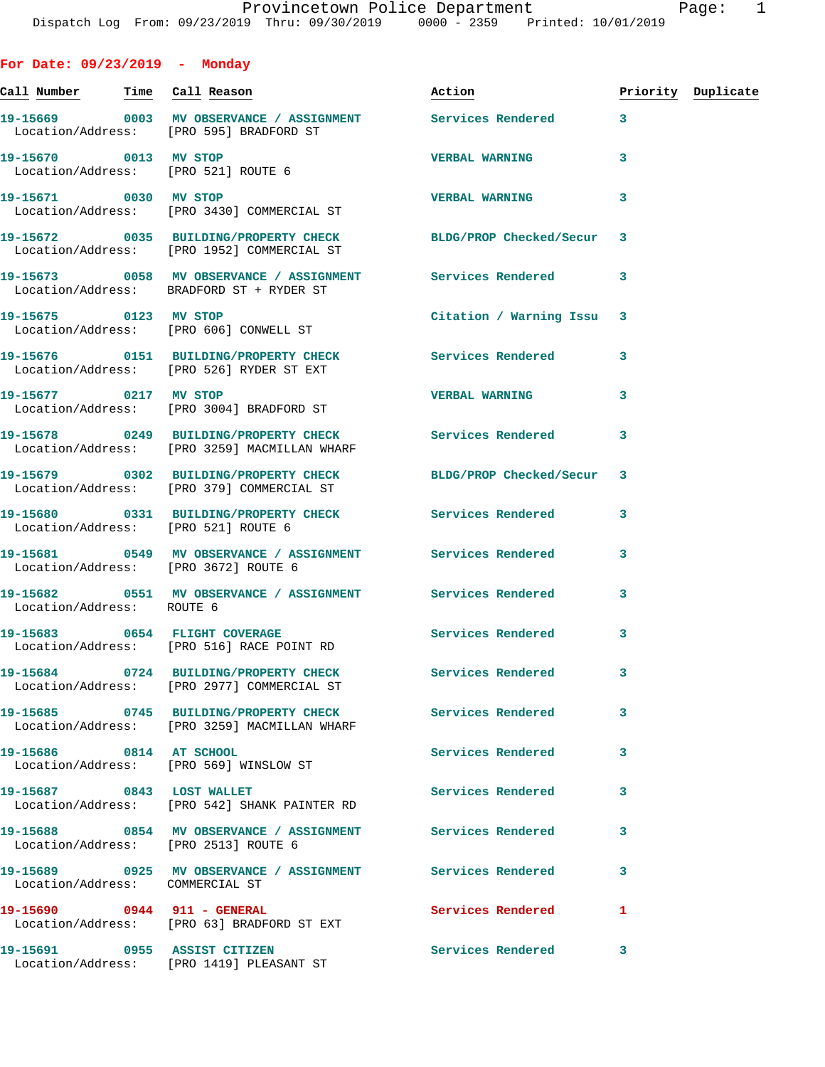**Call Number Time Call Reason Action Priority Duplicate 19-15669 0003 MV OBSERVANCE / ASSIGNMENT Services Rendered 3**  Location/Address: [PRO 595] BRADFORD ST **19-15670 0013 MV STOP VERBAL WARNING 3**  Location/Address: [PRO 521] ROUTE 6 **19-15671 0030 MV STOP VERBAL WARNING 3**  Location/Address: [PRO 3430] COMMERCIAL ST **19-15672 0035 BUILDING/PROPERTY CHECK BLDG/PROP Checked/Secur 3**  Location/Address: [PRO 1952] COMMERCIAL ST **19-15673 0058 MV OBSERVANCE / ASSIGNMENT Services Rendered 3**  Location/Address: BRADFORD ST + RYDER ST **19-15675 0123 MV STOP Citation / Warning Issu 3**  Location/Address: [PRO 606] CONWELL ST **19-15676 0151 BUILDING/PROPERTY CHECK Services Rendered 3**  Location/Address: [PRO 526] RYDER ST EXT **19-15677 0217 MV STOP VERBAL WARNING 3**  Location/Address: [PRO 3004] BRADFORD ST **19-15678 0249 BUILDING/PROPERTY CHECK Services Rendered 3**  Location/Address: [PRO 3259] MACMILLAN WHARF **19-15679 0302 BUILDING/PROPERTY CHECK BLDG/PROP Checked/Secur 3**  Location/Address: [PRO 379] COMMERCIAL ST **19-15680 0331 BUILDING/PROPERTY CHECK Services Rendered 3**  Location/Address: [PRO 521] ROUTE 6 **19-15681 0549 MV OBSERVANCE / ASSIGNMENT Services Rendered 3**  Location/Address: [PRO 3672] ROUTE 6 **19-15682 0551 MV OBSERVANCE / ASSIGNMENT Services Rendered 3**  Location/Address: ROUTE 6 19-15683 0654 FLIGHT COVERAGE **Services Rendered** 3 Location/Address: [PRO 516] RACE POINT RD **19-15684 0724 BUILDING/PROPERTY CHECK Services Rendered 3**  Location/Address: [PRO 2977] COMMERCIAL ST **19-15685 0745 BUILDING/PROPERTY CHECK Services Rendered 3**  Location/Address: [PRO 3259] MACMILLAN WHARF **19-15686 0814 AT SCHOOL Services Rendered 3**  Location/Address: [PRO 569] WINSLOW ST 19-15687 **0843** LOST WALLET **19-15687** Services Rendered 3

**For Date: 09/23/2019 - Monday**

 Location/Address: [PRO 542] SHANK PAINTER RD **19-15688 0854 MV OBSERVANCE / ASSIGNMENT Services Rendered 3**  Location/Address: [PRO 2513] ROUTE 6 **19-15689 0925 MV OBSERVANCE / ASSIGNMENT Services Rendered 3**  Location/Address: COMMERCIAL ST **19-15690 0944 911 - GENERAL Services Rendered 1**  Location/Address: [PRO 63] BRADFORD ST EXT **19-15691 0955 ASSIST CITIZEN Services Rendered 3**  Location/Address: [PRO 1419] PLEASANT ST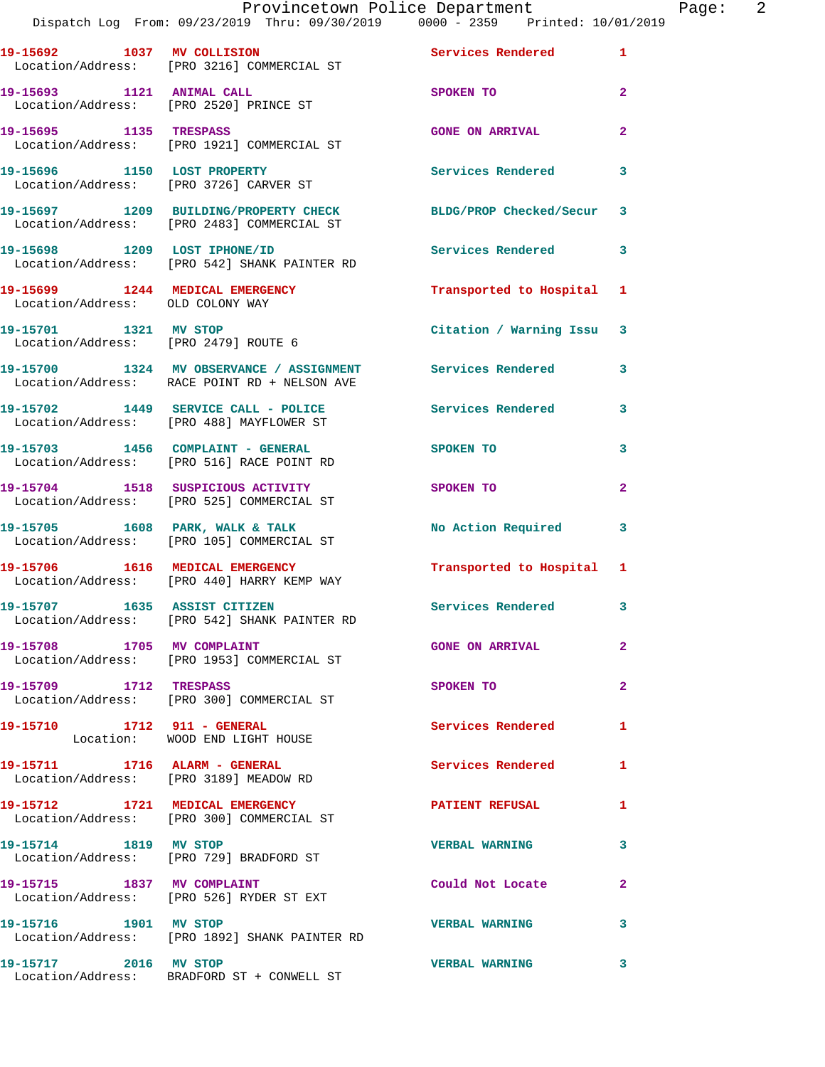|                                      | Provincetown Police Department<br>Dispatch Log From: 09/23/2019 Thru: 09/30/2019 0000 - 2359 Printed: 10/01/2019 |                            | Page: $2$      |
|--------------------------------------|------------------------------------------------------------------------------------------------------------------|----------------------------|----------------|
|                                      | 19-15692 1037 MV COLLISION 19-15692 1<br>Location/Address: [PRO 3216] COMMERCIAL ST                              |                            |                |
|                                      | 19-15693 1121 ANIMAL CALL<br>Location/Address: [PRO 2520] PRINCE ST                                              | SPOKEN TO                  | $\mathbf{2}$   |
|                                      | 19-15695 1135 TRESPASS<br>Location/Address: [PRO 1921] COMMERCIAL ST                                             | <b>GONE ON ARRIVAL</b>     | $\mathbf{2}$   |
|                                      |                                                                                                                  | Services Rendered 3        |                |
|                                      | 19-15697 1209 BUILDING/PROPERTY CHECK BLDG/PROP Checked/Secur 3<br>Location/Address: [PRO 2483] COMMERCIAL ST    |                            |                |
|                                      | 19-15698 1209 LOST IPHONE/ID<br>Location/Address: [PRO 542] SHANK PAINTER RD                                     | Services Rendered          | 3              |
| Location/Address: OLD COLONY WAY     | 19-15699 1244 MEDICAL EMERGENCY                                                                                  | Transported to Hospital 1  |                |
| Location/Address: [PRO 2479] ROUTE 6 | 19-15701 1321 MV STOP                                                                                            | Citation / Warning Issu 3  |                |
|                                      | 19-15700 1324 MV OBSERVANCE / ASSIGNMENT Services Rendered 3<br>Location/Address: RACE POINT RD + NELSON AVE     |                            |                |
|                                      | 19-15702 1449 SERVICE CALL - POLICE Services Rendered<br>Location/Address: [PRO 488] MAYFLOWER ST                |                            | 3              |
|                                      | 19-15703 1456 COMPLAINT - GENERAL SPOKEN TO<br>Location/Address: [PRO 516] RACE POINT RD                         |                            | 3              |
|                                      | 19-15704 1518 SUSPICIOUS ACTIVITY<br>Location/Address: [PRO 525] COMMERCIAL ST                                   | SPOKEN TO                  | $\mathbf{2}$   |
|                                      | 19-15705 1608 PARK, WALK & TALK<br>Location/Address: [PRO 105] COMMERCIAL ST                                     | No Action Required 3       |                |
|                                      | 19-15706 1616 MEDICAL EMERGENCY<br>Location/Address: [PRO 440] HARRY KEMP WAY                                    | Transported to Hospital 1  |                |
|                                      | 19-15707 1635 ASSIST CITIZEN<br>Location/Address: [PRO 542] SHANK PAINTER RD                                     | <b>Services Rendered</b>   |                |
| 19-15708 1705 MV COMPLAINT           | Location/Address: [PRO 1953] COMMERCIAL ST                                                                       | <b>GONE ON ARRIVAL</b>     | $\mathbf{2}$   |
| 19-15709 1712 TRESPASS               | Location/Address: [PRO 300] COMMERCIAL ST                                                                        | SPOKEN TO                  | $\overline{2}$ |
|                                      | 19-15710 1712 911 - GENERAL<br>Location: WOOD END LIGHT HOUSE                                                    | Services Rendered          | 1              |
|                                      | 19-15711 1716 ALARM - GENERAL<br>Location/Address: [PRO 3189] MEADOW RD                                          | <b>Services Rendered</b> 1 |                |
|                                      | 19-15712 1721 MEDICAL EMERGENCY<br>Location/Address: [PRO 300] COMMERCIAL ST                                     | <b>PATIENT REFUSAL</b>     | 1              |
| 19-15714 1819 MV STOP                | Location/Address: [PRO 729] BRADFORD ST                                                                          | <b>VERBAL WARNING</b>      | 3              |
|                                      | 19-15715 1837 MV COMPLAINT<br>Location/Address: [PRO 526] RYDER ST EXT                                           | Could Not Locate           | 2              |
| 19-15716 1901 MV STOP                | Location/Address: [PRO 1892] SHANK PAINTER RD                                                                    | <b>VERBAL WARNING</b>      | 3              |
|                                      |                                                                                                                  |                            |                |

Location/Address: BRADFORD ST + CONWELL ST

**19-15717 2016 MV STOP VERBAL WARNING 3**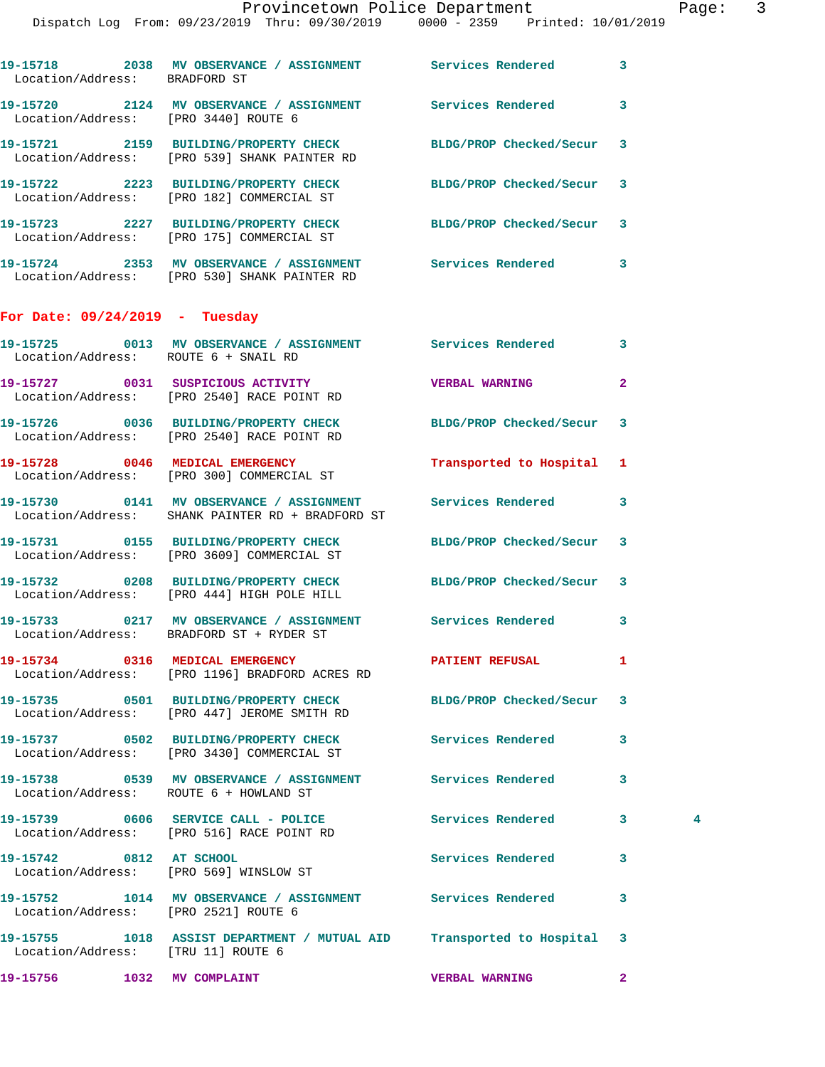| Location/Address: BRADFORD ST          | 19-15718 2038 MV OBSERVANCE / ASSIGNMENT Services Rendered                                                     |                          | 3                             |  |
|----------------------------------------|----------------------------------------------------------------------------------------------------------------|--------------------------|-------------------------------|--|
| Location/Address: [PRO 3440] ROUTE 6   | 19-15720 2124 MV OBSERVANCE / ASSIGNMENT Services Rendered                                                     |                          | 3                             |  |
|                                        | 19-15721 2159 BUILDING/PROPERTY CHECK BLDG/PROP Checked/Secur<br>Location/Address: [PRO 539] SHANK PAINTER RD  |                          | 3                             |  |
|                                        | 19-15722 2223 BUILDING/PROPERTY CHECK<br>Location/Address: [PRO 182] COMMERCIAL ST                             | BLDG/PROP Checked/Secur  | 3                             |  |
|                                        | 19-15723 2227 BUILDING/PROPERTY CHECK BLDG/PROP Checked/Secur<br>Location/Address: [PRO 175] COMMERCIAL ST     |                          | 3                             |  |
|                                        | 19-15724 2353 MV OBSERVANCE / ASSIGNMENT Services Rendered<br>Location/Address: [PRO 530] SHANK PAINTER RD     |                          | 3                             |  |
| For Date: $09/24/2019$ - Tuesday       |                                                                                                                |                          |                               |  |
| Location/Address: ROUTE 6 + SNAIL RD   | 19-15725 0013 MV OBSERVANCE / ASSIGNMENT Services Rendered                                                     |                          | 3                             |  |
|                                        | 19-15727 0031 SUSPICIOUS ACTIVITY<br>Location/Address: [PRO 2540] RACE POINT RD                                | <b>VERBAL WARNING</b>    | $\mathbf{2}$                  |  |
|                                        | 19-15726 0036 BUILDING/PROPERTY CHECK<br>Location/Address: [PRO 2540] RACE POINT RD                            | BLDG/PROP Checked/Secur  | 3                             |  |
|                                        | 19-15728 0046 MEDICAL EMERGENCY<br>Location/Address: [PRO 300] COMMERCIAL ST                                   | Transported to Hospital  | 1                             |  |
|                                        | 19-15730 0141 MV OBSERVANCE / ASSIGNMENT Services Rendered<br>Location/Address: SHANK PAINTER RD + BRADFORD ST |                          | 3                             |  |
|                                        | 19-15731 0155 BUILDING/PROPERTY CHECK<br>Location/Address: [PRO 3609] COMMERCIAL ST                            | BLDG/PROP Checked/Secur  | 3                             |  |
|                                        | 19-15732 0208 BUILDING/PROPERTY CHECK BLDG/PROP Checked/Secur 3<br>Location/Address: [PRO 444] HIGH POLE HILL  |                          |                               |  |
|                                        | 19-15733 0217 MV OBSERVANCE / ASSIGNMENT Services Rendered<br>Location/Address: BRADFORD ST + RYDER ST         |                          | 3                             |  |
|                                        | 19-15734 0316 MEDICAL EMERGENCY<br>Location/Address: [PRO 1196] BRADFORD ACRES RD                              | PATIENT REFUSAL          | 1                             |  |
|                                        | 19-15735 0501 BUILDING/PROPERTY CHECK BLDG/PROP Checked/Secur<br>Location/Address: [PRO 447] JEROME SMITH RD   |                          | 3                             |  |
|                                        | 19-15737 0502 BUILDING/PROPERTY CHECK<br>Location/Address: [PRO 3430] COMMERCIAL ST                            | Services Rendered        | 3                             |  |
| Location/Address: ROUTE 6 + HOWLAND ST | 19-15738 0539 MV OBSERVANCE / ASSIGNMENT Services Rendered                                                     |                          | 3                             |  |
|                                        | 19-15739 0606 SERVICE CALL - POLICE 2007 Services Rendered<br>Location/Address: [PRO 516] RACE POINT RD        |                          | $\mathbf{3}$<br>$\frac{4}{3}$ |  |
|                                        | 19-15742 0812 AT SCHOOL<br>Location/Address: [PRO 569] WINSLOW ST                                              | <b>Services Rendered</b> | 3                             |  |
| Location/Address: [PRO 2521] ROUTE 6   | 19-15752 1014 MV OBSERVANCE / ASSIGNMENT Services Rendered                                                     |                          | 3                             |  |
| Location/Address: [TRU 11] ROUTE 6     | 19-15755 1018 ASSIST DEPARTMENT / MUTUAL AID Transported to Hospital                                           |                          | 3                             |  |
| 19-15756 1032 MV COMPLAINT             |                                                                                                                | <b>VERBAL WARNING</b>    | $\mathbf{2}$                  |  |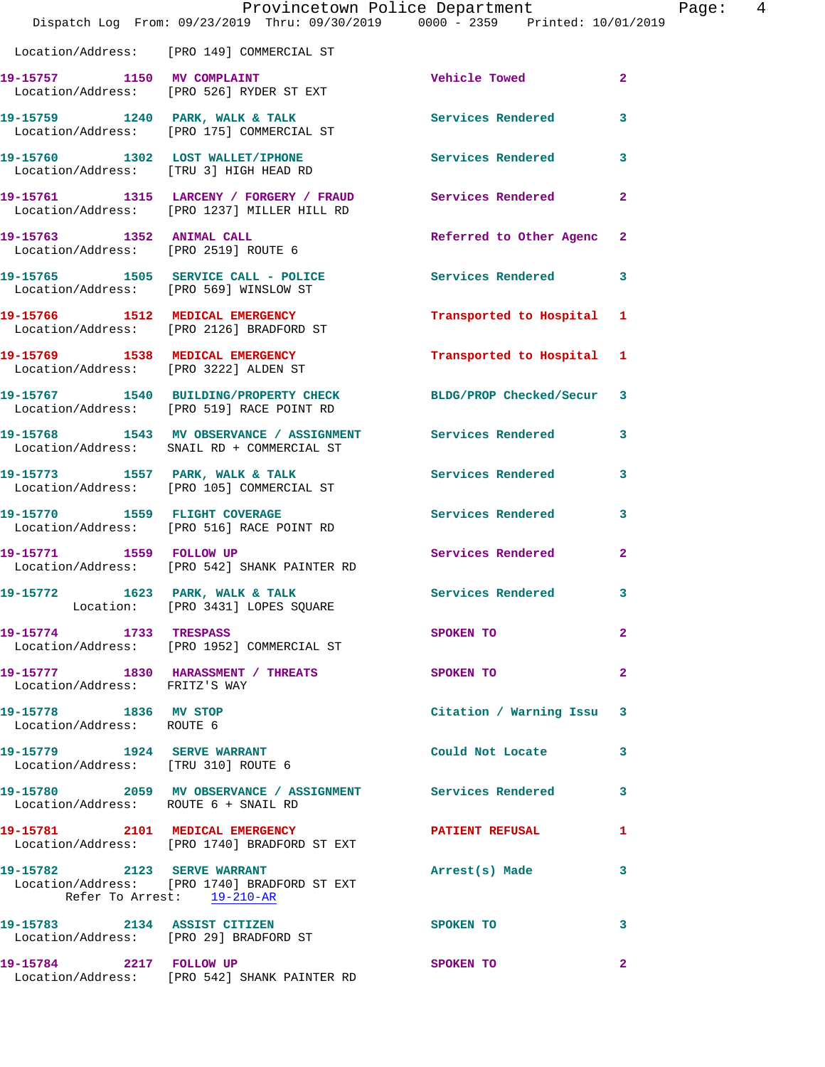|                                                                        | Provincetown Police Department<br>Dispatch Log From: 09/23/2019 Thru: 09/30/2019 0000 - 2359 Printed: 10/01/2019 |                          |                |
|------------------------------------------------------------------------|------------------------------------------------------------------------------------------------------------------|--------------------------|----------------|
|                                                                        | Location/Address: [PRO 149] COMMERCIAL ST                                                                        |                          |                |
|                                                                        | 19-15757 1150 MV COMPLAINT<br>Location/Address: [PRO 526] RYDER ST EXT                                           | Vehicle Towed            | $\overline{2}$ |
|                                                                        | 19-15759 1240 PARK, WALK & TALK<br>Location/Address: [PRO 175] COMMERCIAL ST                                     | <b>Services Rendered</b> | 3              |
|                                                                        | 19-15760 1302 LOST WALLET/IPHONE<br>Location/Address: [TRU 3] HIGH HEAD RD                                       | <b>Services Rendered</b> | 3              |
|                                                                        | 19-15761 1315 LARCENY / FORGERY / FRAUD Services Rendered<br>Location/Address: [PRO 1237] MILLER HILL RD         |                          | $\overline{a}$ |
| Location/Address: [PRO 2519] ROUTE 6                                   | 19-15763 1352 ANIMAL CALL                                                                                        | Referred to Other Agenc  | $\overline{2}$ |
| Location/Address: [PRO 569] WINSLOW ST                                 | 19-15765 1505 SERVICE CALL - POLICE                                                                              | Services Rendered        | 3              |
|                                                                        | 19-15766 1512 MEDICAL EMERGENCY<br>Location/Address: [PRO 2126] BRADFORD ST                                      | Transported to Hospital  | 1              |
|                                                                        | 19-15769 1538 MEDICAL EMERGENCY<br>Location/Address: [PRO 3222] ALDEN ST                                         | Transported to Hospital  | 1              |
|                                                                        | 19-15767 1540 BUILDING/PROPERTY CHECK<br>Location/Address: [PRO 519] RACE POINT RD                               | BLDG/PROP Checked/Secur  | 3              |
|                                                                        | 19-15768 1543 MV OBSERVANCE / ASSIGNMENT Services Rendered<br>Location/Address: SNAIL RD + COMMERCIAL ST         |                          | 3              |
|                                                                        | 19-15773 1557 PARK, WALK & TALK<br>Location/Address: [PRO 105] COMMERCIAL ST                                     | Services Rendered        | 3              |
|                                                                        | 19-15770 1559 FLIGHT COVERAGE<br>Location/Address: [PRO 516] RACE POINT RD                                       | <b>Services Rendered</b> | 3              |
|                                                                        | 19-15771 1559 FOLLOW UP<br>Location/Address: [PRO 542] SHANK PAINTER RD                                          | Services Rendered        | $\overline{2}$ |
|                                                                        | 19-15772 1623 PARK, WALK & TALK<br>Location: [PRO 3431] LOPES SQUARE                                             | <b>Services Rendered</b> |                |
| 19-15774 1733 TRESPASS                                                 | Location/Address: [PRO 1952] COMMERCIAL ST                                                                       | SPOKEN TO                | $\overline{a}$ |
| Location/Address: FRITZ'S WAY                                          | 19-15777 1830 HARASSMENT / THREATS                                                                               | SPOKEN TO                | $\overline{a}$ |
| 19-15778 1836 MV STOP<br>Location/Address: ROUTE 6                     |                                                                                                                  | Citation / Warning Issu  | 3              |
| 19-15779 1924 SERVE WARRANT<br>Location/Address: [TRU 310] ROUTE 6     |                                                                                                                  | Could Not Locate         | 3              |
| Location/Address: ROUTE 6 + SNAIL RD                                   | 19-15780 2059 MV OBSERVANCE / ASSIGNMENT Services Rendered                                                       |                          | 3              |
|                                                                        | 19-15781 2101 MEDICAL EMERGENCY<br>Location/Address: [PRO 1740] BRADFORD ST EXT                                  | <b>PATIENT REFUSAL</b>   | 1              |
|                                                                        | 19-15782 2123 SERVE WARRANT<br>Location/Address: [PRO 1740] BRADFORD ST EXT<br>Refer To Arrest: 19-210-AR        | Arrest(s) Made           | 3              |
| 19-15783 2134 ASSIST CITIZEN<br>Location/Address: [PRO 29] BRADFORD ST |                                                                                                                  | SPOKEN TO                | 3              |
| 19-15784 2217 FOLLOW UP                                                |                                                                                                                  | SPOKEN TO                | $\overline{2}$ |

Location/Address: [PRO 542] SHANK PAINTER RD

Page: 4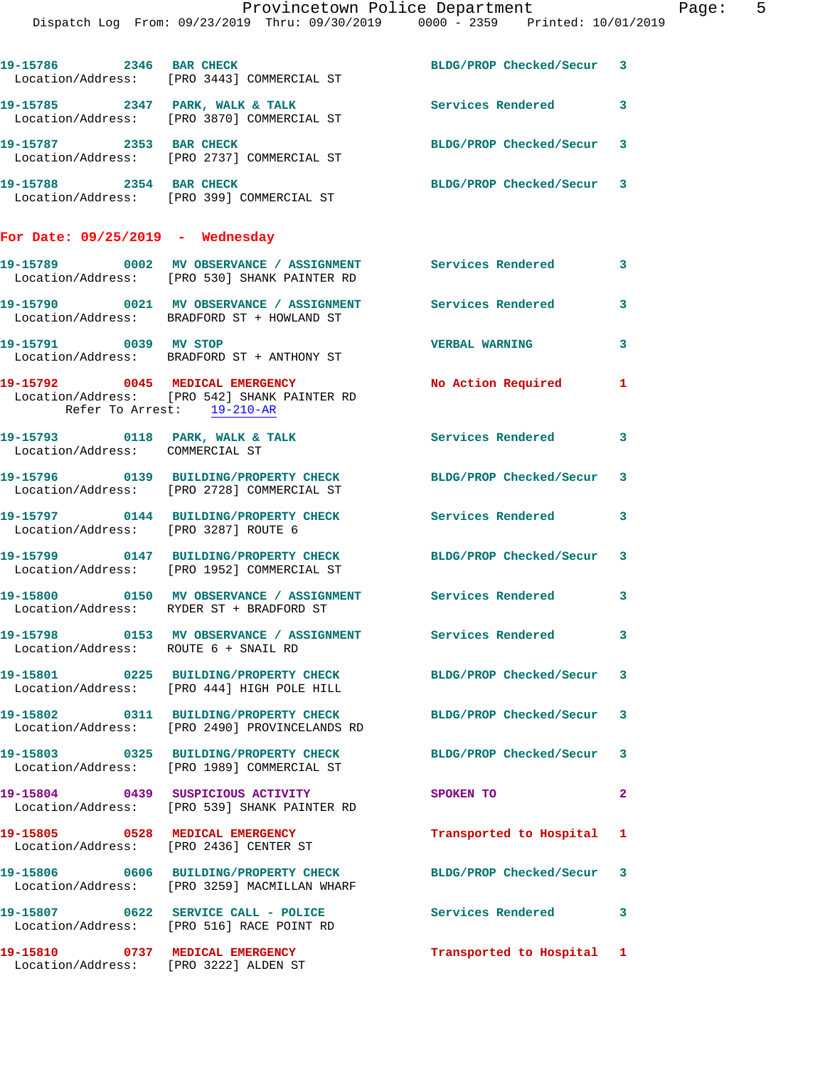|                                      | Provincetown Police Department                                                                                   |                           |              |
|--------------------------------------|------------------------------------------------------------------------------------------------------------------|---------------------------|--------------|
|                                      | Dispatch Log From: 09/23/2019 Thru: 09/30/2019 0000 - 2359 Printed: 10/01/2019                                   |                           |              |
|                                      | 19-15786 2346 BAR CHECK<br>Location/Address: [PRO 3443] COMMERCIAL ST                                            | BLDG/PROP Checked/Secur 3 |              |
|                                      | 19-15785 2347 PARK, WALK & TALK<br>Location/Address: [PRO 3870] COMMERCIAL ST                                    | Services Rendered         | 3            |
| 19-15787 2353 BAR CHECK              | Location/Address: [PRO 2737] COMMERCIAL ST                                                                       | BLDG/PROP Checked/Secur 3 |              |
| 19-15788 2354 BAR CHECK              | Location/Address: [PRO 399] COMMERCIAL ST                                                                        | BLDG/PROP Checked/Secur 3 |              |
| For Date: $09/25/2019$ - Wednesday   |                                                                                                                  |                           |              |
|                                      | 19-15789 0002 MV OBSERVANCE / ASSIGNMENT Services Rendered<br>Location/Address: [PRO 530] SHANK PAINTER RD       |                           | 3            |
|                                      | 19-15790 0021 MV OBSERVANCE / ASSIGNMENT<br>Location/Address: BRADFORD ST + HOWLAND ST                           | Services Rendered         | 3            |
|                                      | 19-15791 0039 MV STOP<br>Location/Address: BRADFORD ST + ANTHONY ST                                              | <b>VERBAL WARNING</b>     | 3            |
| Refer To Arrest: 19-210-AR           | 19-15792 0045 MEDICAL EMERGENCY<br>Location/Address: [PRO 542] SHANK PAINTER RD                                  | No Action Required        | 1            |
| Location/Address: COMMERCIAL ST      | 19-15793 0118 PARK, WALK & TALK                                                                                  | Services Rendered         | 3            |
|                                      | 19-15796 0139 BUILDING/PROPERTY CHECK<br>Location/Address: [PRO 2728] COMMERCIAL ST                              | BLDG/PROP Checked/Secur   | 3            |
| Location/Address: [PRO 3287] ROUTE 6 | 19-15797 0144 BUILDING/PROPERTY CHECK                                                                            | <b>Services Rendered</b>  | 3            |
|                                      | 19-15799 0147 BUILDING/PROPERTY CHECK<br>Location/Address: [PRO 1952] COMMERCIAL ST                              | BLDG/PROP Checked/Secur   | 3            |
|                                      | 19-15800 0150 MV OBSERVANCE / ASSIGNMENT Services Rendered 3<br>Location/Address: RYDER ST + BRADFORD ST         |                           |              |
| Location/Address: ROUTE 6 + SNAIL RD | 19-15798 0153 MV OBSERVANCE / ASSIGNMENT Services Rendered                                                       |                           | 3            |
|                                      | 19-15801 0225 BUILDING/PROPERTY CHECK<br>Location/Address: [PRO 444] HIGH POLE HILL                              | BLDG/PROP Checked/Secur   | 3            |
|                                      | 19-15802 0311 BUILDING/PROPERTY CHECK BLDG/PROP Checked/Secur 3<br>Location/Address: [PRO 2490] PROVINCELANDS RD |                           |              |
|                                      | 19-15803 0325 BUILDING/PROPERTY CHECK<br>Location/Address: [PRO 1989] COMMERCIAL ST                              | BLDG/PROP Checked/Secur   | 3            |
|                                      | 19-15804 0439 SUSPICIOUS ACTIVITY<br>Location/Address: [PRO 539] SHANK PAINTER RD                                | SPOKEN TO                 | $\mathbf{2}$ |
|                                      | 19-15805 0528 MEDICAL EMERGENCY<br>Location/Address: [PRO 2436] CENTER ST                                        | Transported to Hospital   | 1            |
|                                      | 19-15806 0606 BUILDING/PROPERTY CHECK<br>Location/Address: [PRO 3259] MACMILLAN WHARF                            | BLDG/PROP Checked/Secur   | 3            |
|                                      | 19-15807 0622 SERVICE CALL - POLICE<br>Location/Address: [PRO 516] RACE POINT RD                                 | Services Rendered         | 3            |
| 19-15810 0737 MEDICAL EMERGENCY      | Location/Address: [PRO 3222] ALDEN ST                                                                            | Transported to Hospital 1 |              |

Page: 5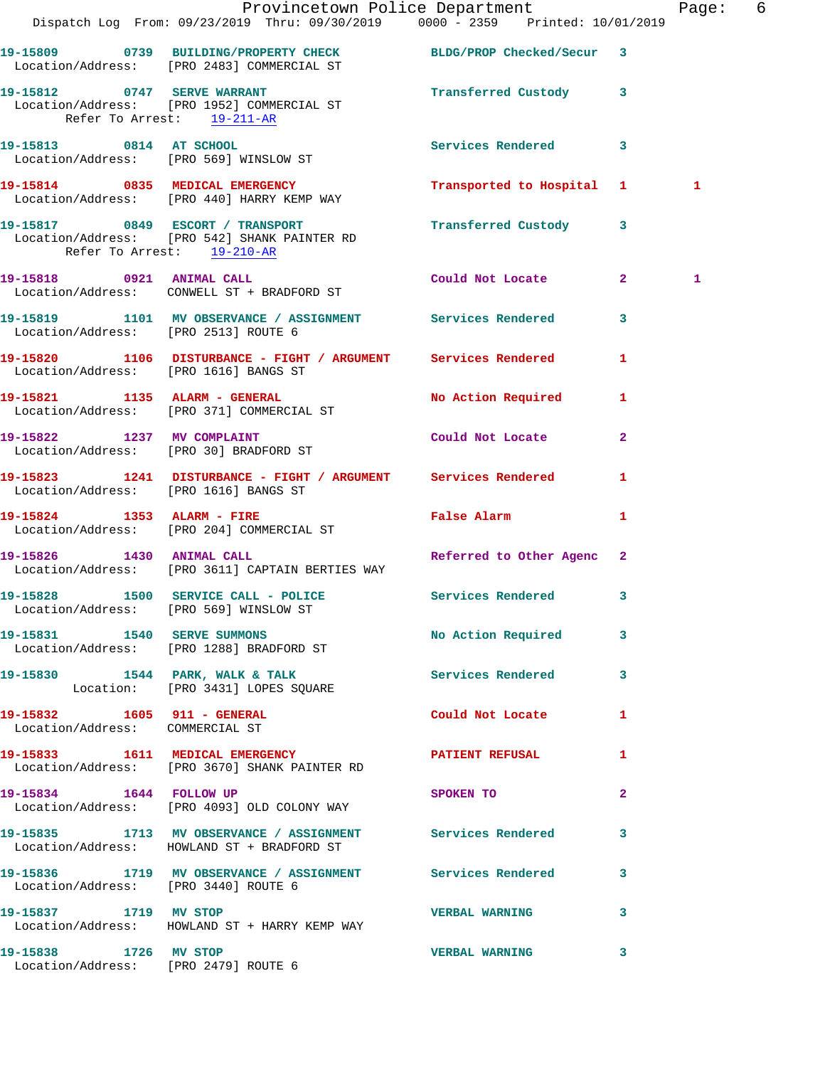|                                                           | Dispatch Log From: 09/23/2019 Thru: 09/30/2019 0000 - 2359 Printed: 10/01/2019                                        | Provincetown Police Department |              | Page: 6 |  |
|-----------------------------------------------------------|-----------------------------------------------------------------------------------------------------------------------|--------------------------------|--------------|---------|--|
|                                                           | 19-15809 0739 BUILDING/PROPERTY CHECK BLDG/PROP Checked/Secur 3<br>Location/Address: [PRO 2483] COMMERCIAL ST         |                                |              |         |  |
| 19-15812 0747 SERVE WARRANT<br>Refer To Arrest: 19-211-AR | Location/Address: [PRO 1952] COMMERCIAL ST                                                                            | Transferred Custody 3          |              |         |  |
|                                                           | 19-15813 0814 AT SCHOOL<br>Location/Address: [PRO 569] WINSLOW ST                                                     | Services Rendered 3            |              |         |  |
|                                                           | 19-15814 0835 MEDICAL EMERGENCY<br>Location/Address: [PRO 440] HARRY KEMP WAY                                         | Transported to Hospital 1      |              | 1       |  |
|                                                           | 19-15817 0849 ESCORT / TRANSPORT<br>Location/Address: [PRO 542] SHANK PAINTER RD<br>Refer To Arrest: 19-210-AR        | Transferred Custody 3          |              |         |  |
|                                                           | 19-15818 0921 ANIMAL CALL<br>Location/Address: CONWELL ST + BRADFORD ST                                               | Could Not Locate 2             |              | 1       |  |
|                                                           | 19-15819 1101 MV OBSERVANCE / ASSIGNMENT Services Rendered 3<br>Location/Address: [PRO 2513] ROUTE 6                  |                                |              |         |  |
|                                                           | 19-15820 1106 DISTURBANCE - FIGHT / ARGUMENT Services Rendered<br>Location/Address: [PRO 1616] BANGS ST               |                                | 1            |         |  |
|                                                           | 19-15821 1135 ALARM - GENERAL<br>Location/Address: [PRO 371] COMMERCIAL ST                                            | No Action Required             | 1            |         |  |
|                                                           | 19-15822 1237 MV COMPLAINT<br>Location/Address: [PRO 30] BRADFORD ST                                                  | Could Not Locate               | $\mathbf{2}$ |         |  |
|                                                           | 19-15823 1241 DISTURBANCE - FIGHT / ARGUMENT Services Rendered<br>Location/Address: [PRO 1616] BANGS ST               |                                | 1            |         |  |
|                                                           | 19-15824 1353 ALARM - FIRE<br>Location/Address: [PRO 204] COMMERCIAL ST                                               | <b>False Alarm</b>             | 1            |         |  |
|                                                           | 19-15826 1430 ANIMAL CALL 2 Referred to Other Agenc 2<br>Location/Address: [PRO 3611] CAPTAIN BERTIES WAY             |                                |              |         |  |
|                                                           | 19-15828 1500 SERVICE CALL - POLICE 3 Services Rendered 3<br>Location/Address: [PRO 569] WINSLOW ST                   |                                |              |         |  |
|                                                           | 19-15831 1540 SERVE SUMMONS<br>Location/Address: [PRO 1288] BRADFORD ST                                               | No Action Required 3           |              |         |  |
|                                                           | 19-15830 1544 PARK, WALK & TALK 6 Services Rendered 3<br>Location: [PRO 3431] LOPES SQUARE                            |                                |              |         |  |
| Location/Address: COMMERCIAL ST                           | 19-15832 1605 911 - GENERAL                                                                                           | Could Not Locate 1             |              |         |  |
|                                                           | 19-15833 1611 MEDICAL EMERGENCY 19-15833 2011 1611 MEDICAL EMERGENCY<br>Location/Address: [PRO 3670] SHANK PAINTER RD |                                | 1            |         |  |
| 19-15834 1644 FOLLOW UP                                   | Location/Address: [PRO 4093] OLD COLONY WAY                                                                           | SPOKEN TO                      | $\mathbf{2}$ |         |  |
|                                                           | 19-15835 1713 MV OBSERVANCE / ASSIGNMENT Services Rendered 3<br>Location/Address: HOWLAND ST + BRADFORD ST            |                                |              |         |  |
|                                                           | 19-15836 1719 MV OBSERVANCE / ASSIGNMENT Services Rendered<br>Location/Address: [PRO 3440] ROUTE 6                    |                                | 3            |         |  |
| 19-15837 1719 MV STOP                                     | Location/Address: HOWLAND ST + HARRY KEMP WAY                                                                         | VERBAL WARNING 3               |              |         |  |
| 19-15838 1726 MV STOP                                     | Location/Address: [PRO 2479] ROUTE 6                                                                                  | <b>VERBAL WARNING</b>          | 3            |         |  |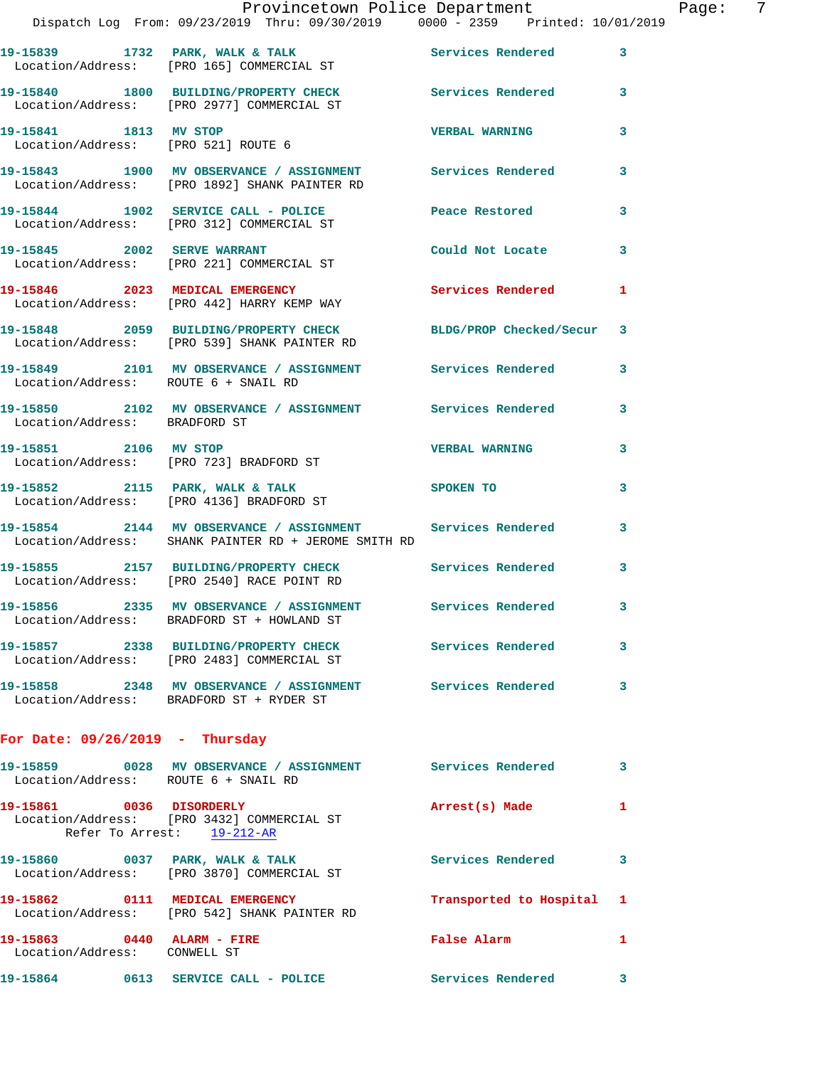|                                                        | Provincetown Police Department<br>Dispatch Log From: 09/23/2019 Thru: 09/30/2019 0000 - 2359 Printed: 10/01/2019   |                          |   |
|--------------------------------------------------------|--------------------------------------------------------------------------------------------------------------------|--------------------------|---|
|                                                        | 19-15839 1732 PARK, WALK & TALK Services Rendered<br>Location/Address: [PRO 165] COMMERCIAL ST                     |                          | 3 |
|                                                        | 19-15840 1800 BUILDING/PROPERTY CHECK<br>Location/Address: [PRO 2977] COMMERCIAL ST                                | <b>Services Rendered</b> | 3 |
| 19-15841 1813 MV STOP                                  | Location/Address: [PRO 521] ROUTE 6                                                                                | <b>VERBAL WARNING</b>    | 3 |
|                                                        | 19-15843 1900 MV OBSERVANCE / ASSIGNMENT Services Rendered<br>Location/Address: [PRO 1892] SHANK PAINTER RD        |                          | 3 |
|                                                        | 19-15844 1902 SERVICE CALL - POLICE Peace Restored<br>Location/Address: [PRO 312] COMMERCIAL ST                    |                          | 3 |
| 19-15845 2002 SERVE WARRANT                            | Location/Address: [PRO 221] COMMERCIAL ST                                                                          | Could Not Locate         | 3 |
|                                                        | 19-15846 2023 MEDICAL EMERGENCY Services Rendered<br>Location/Address: [PRO 442] HARRY KEMP WAY                    |                          | 1 |
|                                                        | 19-15848 2059 BUILDING/PROPERTY CHECK BLDG/PROP Checked/Secur<br>Location/Address: [PRO 539] SHANK PAINTER RD      |                          | 3 |
| Location/Address: ROUTE 6 + SNAIL RD                   | 19-15849 2101 MV OBSERVANCE / ASSIGNMENT Services Rendered                                                         |                          | 3 |
| Location/Address: BRADFORD ST                          | 19-15850 2102 MV OBSERVANCE / ASSIGNMENT Services Rendered                                                         |                          | 3 |
|                                                        | 19-15851 2106 MV STOP<br>Location/Address: [PRO 723] BRADFORD ST                                                   | <b>VERBAL WARNING</b>    | 3 |
|                                                        | 19-15852 2115 PARK, WALK & TALK<br>Location/Address: [PRO 4136] BRADFORD ST                                        | SPOKEN TO                | 3 |
|                                                        | 19-15854 2144 MV OBSERVANCE / ASSIGNMENT Services Rendered<br>Location/Address: SHANK PAINTER RD + JEROME SMITH RD |                          | 3 |
|                                                        | 19-15855 2157 BUILDING/PROPERTY CHECK Services Rendered<br>Location/Address: [PRO 2540] RACE POINT RD              |                          | 3 |
|                                                        | 19-15856 2335 MV OBSERVANCE / ASSIGNMENT<br>Location/Address: BRADFORD ST + HOWLAND ST                             | Services Rendered        | 3 |
|                                                        | 19-15857 2338 BUILDING/PROPERTY CHECK Services Rendered<br>Location/Address: [PRO 2483] COMMERCIAL ST              |                          | 3 |
|                                                        | 19-15858 2348 MV OBSERVANCE / ASSIGNMENT Services Rendered<br>Location/Address: BRADFORD ST + RYDER ST             |                          | 3 |
| For Date: $09/26/2019$ - Thursday                      |                                                                                                                    |                          |   |
| Location/Address: ROUTE 6 + SNAIL RD                   | 19-15859 0028 MV OBSERVANCE / ASSIGNMENT Services Rendered                                                         |                          | 3 |
| 19-15861 0036 DISORDERLY<br>Refer To Arrest: 19-212-AR | Location/Address: [PRO 3432] COMMERCIAL ST                                                                         | Arrest(s) Made           | 1 |
|                                                        | 19-15860 0037 PARK, WALK & TALK<br>Location/Address: [PRO 3870] COMMERCIAL ST                                      | <b>Services Rendered</b> | 3 |
|                                                        | 19-15862 0111 MEDICAL EMERGENCY<br>Location/Address: [PRO 542] SHANK PAINTER RD                                    | Transported to Hospital  | 1 |
|                                                        |                                                                                                                    |                          |   |

 Location/Address: CONWELL ST **19-15864 0613 SERVICE CALL - POLICE Services Rendered 3** 

**19-15863 0440 ALARM - FIRE False Alarm 1** 

Page: 7<br>19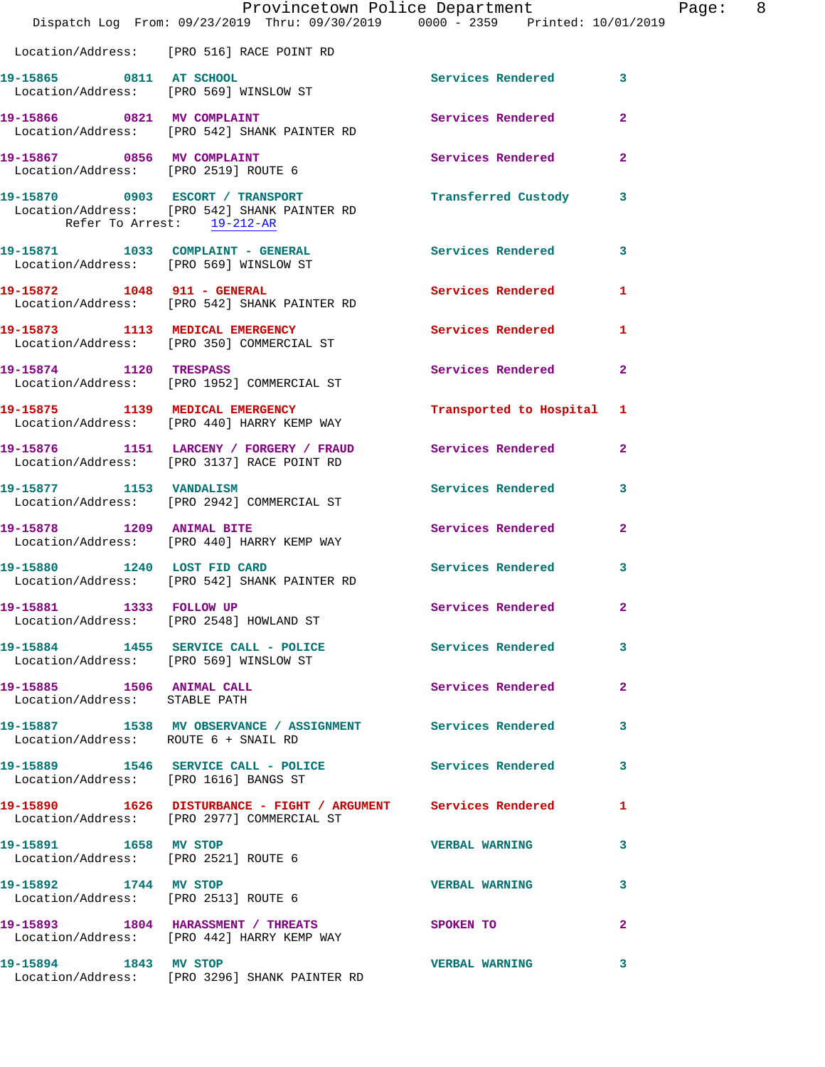|                                                               | Dispatch Log From: 09/23/2019 Thru: 09/30/2019 0000 - 2359 Printed: 10/01/2019                                           | Provincetown Police Department | Page: 8        |  |
|---------------------------------------------------------------|--------------------------------------------------------------------------------------------------------------------------|--------------------------------|----------------|--|
|                                                               | Location/Address: [PRO 516] RACE POINT RD                                                                                |                                |                |  |
| 19-15865 0811 AT SCHOOL                                       | Location/Address: [PRO 569] WINSLOW ST                                                                                   | Services Rendered 3            |                |  |
|                                                               | 19-15866 0821 MV COMPLAINT<br>Location/Address: [PRO 542] SHANK PAINTER RD                                               | Services Rendered              | $\mathbf{2}$   |  |
|                                                               | 19-15867 0856 MV COMPLAINT<br>Location/Address: [PRO 2519] ROUTE 6                                                       | Services Rendered              | $\overline{2}$ |  |
| Refer To Arrest: 19-212-AR                                    | 19-15870 0903 ESCORT / TRANSPORT <b>Example 19</b> Transferred Custody 3<br>Location/Address: [PRO 542] SHANK PAINTER RD |                                |                |  |
| Location/Address: [PRO 569] WINSLOW ST                        | 19-15871 1033 COMPLAINT - GENERAL                                                                                        | Services Rendered              | 3              |  |
|                                                               | 19-15872 1048 911 - GENERAL<br>Location/Address: [PRO 542] SHANK PAINTER RD                                              | Services Rendered 1            |                |  |
|                                                               | 19-15873 1113 MEDICAL EMERGENCY<br>Location/Address: [PRO 350] COMMERCIAL ST                                             | Services Rendered              | $\mathbf{1}$   |  |
|                                                               | 19-15874 1120 TRESPASS<br>Location/Address: [PRO 1952] COMMERCIAL ST                                                     | Services Rendered 2            |                |  |
|                                                               | 19-15875 1139 MEDICAL EMERGENCY<br>Location/Address: [PRO 440] HARRY KEMP WAY                                            | Transported to Hospital 1      |                |  |
|                                                               | 19-15876 1151 LARCENY / FORGERY / FRAUD Services Rendered 2<br>Location/Address: [PRO 3137] RACE POINT RD                |                                |                |  |
|                                                               | 19-15877 1153 VANDALISM<br>Location/Address: [PRO 2942] COMMERCIAL ST                                                    | Services Rendered              | 3              |  |
| 19-15878 1209 ANIMAL BITE                                     | Location/Address: [PRO 440] HARRY KEMP WAY                                                                               | Services Rendered 2            |                |  |
|                                                               | 19-15880 1240 LOST FID CARD<br>Location/Address: [PRO 542] SHANK PAINTER RD                                              | Services Rendered 3            |                |  |
| 19-15881 1333 FOLLOW UP                                       | Location/Address: [PRO 2548] HOWLAND ST                                                                                  | Services Rendered 2            |                |  |
| Location/Address: [PRO 569] WINSLOW ST                        | 19-15884 1455 SERVICE CALL - POLICE                                                                                      | Services Rendered              | 3              |  |
| 19-15885 1506 ANIMAL CALL<br>Location/Address: STABLE PATH    |                                                                                                                          | Services Rendered              | $\mathbf{2}$   |  |
| Location/Address: ROUTE 6 + SNAIL RD                          | 19-15887 1538 MV OBSERVANCE / ASSIGNMENT Services Rendered                                                               |                                | 3              |  |
| Location/Address: [PRO 1616] BANGS ST                         | 19-15889 1546 SERVICE CALL - POLICE 2012 Services Rendered 3                                                             |                                |                |  |
|                                                               | 19-15890 1626 DISTURBANCE - FIGHT / ARGUMENT Services Rendered<br>Location/Address: [PRO 2977] COMMERCIAL ST             |                                | $\mathbf{1}$   |  |
| 19-15891 1658 MV STOP                                         | Location/Address: [PRO 2521] ROUTE 6                                                                                     | <b>VERBAL WARNING</b>          | 3              |  |
| 19-15892 1744 MV STOP<br>Location/Address: [PRO 2513] ROUTE 6 |                                                                                                                          | <b>VERBAL WARNING</b>          | 3              |  |
|                                                               | 19-15893 1804 HARASSMENT / THREATS SPOKEN TO<br>Location/Address: [PRO 442] HARRY KEMP WAY                               |                                | $\mathbf{2}$   |  |
|                                                               | 19-15894 1843 MV STOP<br>Location/Address: [PRO 3296] SHANK PAINTER RD                                                   | <b>VERBAL WARNING</b>          | 3              |  |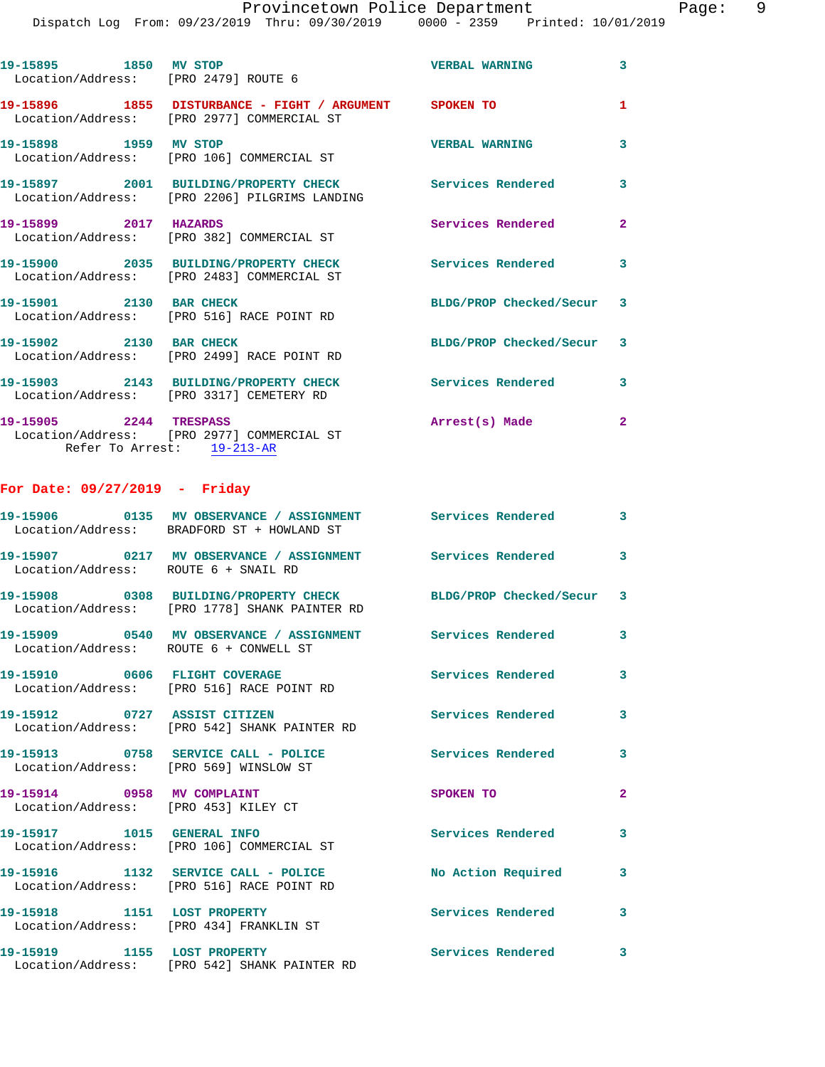| 19-15895 1850 MV STOP<br>Location/Address: [PRO 2479] ROUTE 6                                                                             |                                                                                                          | <b>VERBAL WARNING</b>     | $\overline{3}$ |
|-------------------------------------------------------------------------------------------------------------------------------------------|----------------------------------------------------------------------------------------------------------|---------------------------|----------------|
|                                                                                                                                           | 19-15896 1855 DISTURBANCE - FIGHT / ARGUMENT SPOKEN TO<br>Location/Address: [PRO 2977] COMMERCIAL ST     |                           | $\mathbf{1}$   |
| 19-15898 1959 MV STOP                                                                                                                     | Location/Address: [PRO 106] COMMERCIAL ST                                                                | <b>VERBAL WARNING</b>     | $\overline{3}$ |
|                                                                                                                                           | 19-15897 2001 BUILDING/PROPERTY CHECK Services Rendered<br>Location/Address: [PRO 2206] PILGRIMS LANDING |                           | $\overline{3}$ |
| 19-15899 2017 HAZARDS                                                                                                                     | Location/Address: [PRO 382] COMMERCIAL ST                                                                | Services Rendered         | $\overline{2}$ |
|                                                                                                                                           | 19-15900 2035 BUILDING/PROPERTY CHECK Services Rendered 3<br>Location/Address: [PRO 2483] COMMERCIAL ST  |                           |                |
| 19-15901 2130 BAR CHECK                                                                                                                   | Location/Address: [PRO 516] RACE POINT RD                                                                | BLDG/PROP Checked/Secur 3 |                |
| 19-15902 2130 BAR CHECK                                                                                                                   | Location/Address: [PRO 2499] RACE POINT RD                                                               | BLDG/PROP Checked/Secur 3 |                |
|                                                                                                                                           | 19-15903 2143 BUILDING/PROPERTY CHECK Services Rendered<br>Location/Address: [PRO 3317] CEMETERY RD      |                           | 3              |
| 19-15905 2244 TRESPASS<br>the contract of the contract of the contract of the contract of the contract of the contract of the contract of |                                                                                                          | Arrest(s) Made            | $\overline{2}$ |

 Location/Address: [PRO 2977] COMMERCIAL ST Refer To Arrest: 19-213-AR

## **For Date: 09/27/2019 - Friday**

|                                                                    | 19-15906      0135  MV OBSERVANCE / ASSIGNMENT      Services Rendered<br>Location/Address: BRADFORD ST + HOWLAND ST |                          | $\mathbf{3}$            |
|--------------------------------------------------------------------|---------------------------------------------------------------------------------------------------------------------|--------------------------|-------------------------|
| Location/Address: ROUTE 6 + SNAIL RD                               | 19-15907 0217 MV OBSERVANCE / ASSIGNMENT Services Rendered                                                          |                          | $\overline{\mathbf{3}}$ |
|                                                                    | 19-15908 0308 BUILDING/PROPERTY CHECK BLDG/PROP Checked/Secur 3<br>Location/Address: [PRO 1778] SHANK PAINTER RD    |                          |                         |
| Location/Address: ROUTE 6 + CONWELL ST                             | 19-15909       0540   MV OBSERVANCE / ASSIGNMENT      Services Rendered                                             |                          | $\mathbf{3}$            |
|                                                                    | 19-15910 0606 FLIGHT COVERAGE<br>Location/Address: [PRO 516] RACE POINT RD                                          | <b>Services Rendered</b> | $\mathbf{3}$            |
|                                                                    | 19-15912 0727 ASSIST CITIZEN<br>Location/Address: [PRO 542] SHANK PAINTER RD                                        | <b>Services Rendered</b> | $\overline{3}$          |
| Location/Address: [PRO 569] WINSLOW ST                             | 19-15913 0758 SERVICE CALL - POLICE                                                                                 | <b>Services Rendered</b> | $\overline{3}$          |
| 19-15914 0958 MV COMPLAINT<br>Location/Address: [PRO 453] KILEY CT |                                                                                                                     | SPOKEN TO                | $\overline{2}$          |
|                                                                    | 19-15917 1015 GENERAL INFO<br>Location/Address: [PRO 106] COMMERCIAL ST                                             | <b>Services Rendered</b> | $\mathbf{3}$            |
|                                                                    | 19-15916 1132 SERVICE CALL - POLICE<br>Location/Address: [PRO 516] RACE POINT RD                                    | No Action Required       | $\mathbf{3}$            |
| 19-15918 1151 LOST PROPERTY                                        | Location/Address: [PRO 434] FRANKLIN ST                                                                             | <b>Services Rendered</b> | $\mathbf{3}$            |
|                                                                    | 19-15919 1155 LOST PROPERTY<br>Location/Address: [PRO 542] SHANK PAINTER RD                                         | <b>Services Rendered</b> | $\overline{\mathbf{3}}$ |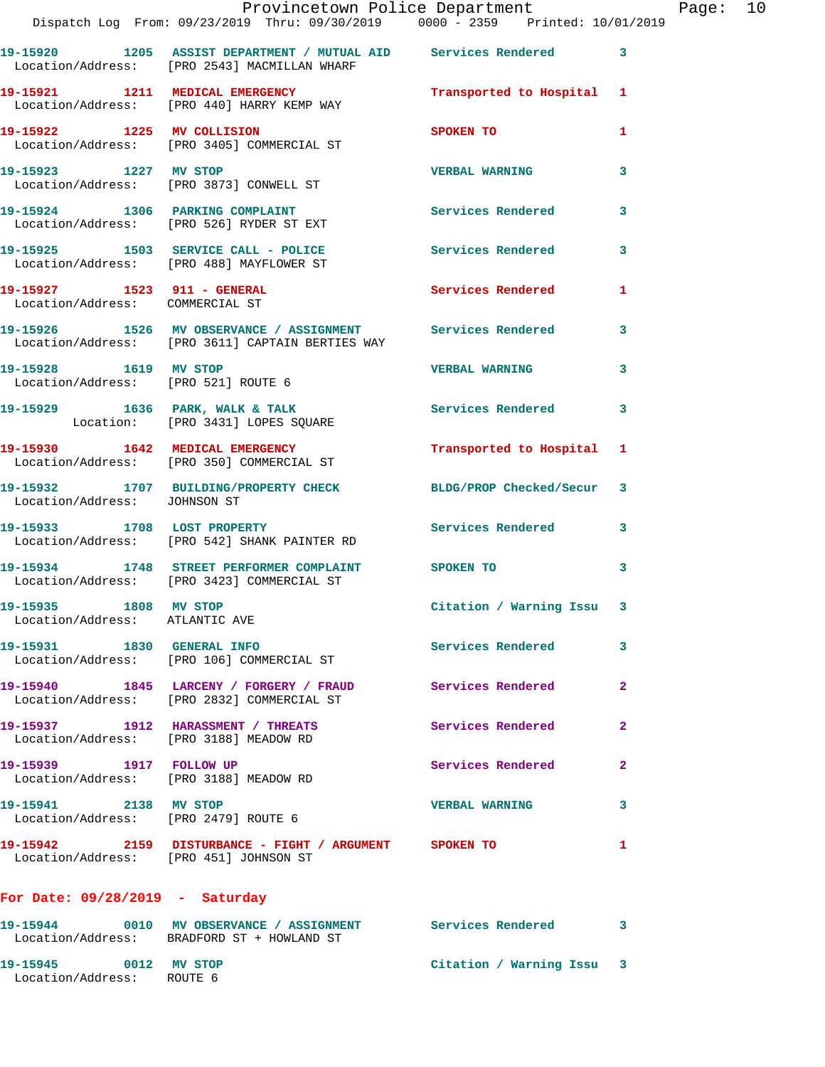|                                                                   | Dispatch Log From: 09/23/2019 Thru: 09/30/2019 0000 - 2359 Printed: 10/01/2019                                 | Provincetown Police Department |              | Page: 10 |  |
|-------------------------------------------------------------------|----------------------------------------------------------------------------------------------------------------|--------------------------------|--------------|----------|--|
|                                                                   | 19-15920 1205 ASSIST DEPARTMENT / MUTUAL AID Services Rendered<br>Location/Address: [PRO 2543] MACMILLAN WHARF |                                | 3            |          |  |
|                                                                   | 19-15921 1211 MEDICAL EMERGENCY 1 Transported to Hospital 1<br>Location/Address: [PRO 440] HARRY KEMP WAY      |                                |              |          |  |
|                                                                   | 19-15922 1225 MV COLLISION<br>Location/Address: [PRO 3405] COMMERCIAL ST                                       | <b>SPOKEN TO</b>               | 1            |          |  |
|                                                                   | 19-15923 1227 MV STOP VERBAL WARNING<br>Location/Address: [PRO 3873] CONWELL ST                                |                                | 3            |          |  |
|                                                                   | 19-15924 1306 PARKING COMPLAINT<br>Location/Address: [PRO 526] RYDER ST EXT                                    | Services Rendered              | 3            |          |  |
|                                                                   | 19-15925 1503 SERVICE CALL - POLICE 30 Services Rendered<br>Location/Address: [PRO 488] MAYFLOWER ST           |                                | 3            |          |  |
| Location/Address: COMMERCIAL ST                                   | 19-15927 1523 911 - GENERAL 1999 Services Rendered                                                             |                                | 1            |          |  |
|                                                                   | 19-15926 1526 MV OBSERVANCE / ASSIGNMENT Services Rendered<br>Location/Address: [PRO 3611] CAPTAIN BERTIES WAY |                                | 3            |          |  |
|                                                                   | 19-15928 1619 MV STOP<br>Location/Address: [PRO 521] ROUTE 6                                                   | <b>VERBAL WARNING</b>          | 3            |          |  |
|                                                                   | 19-15929 1636 PARK, WALK & TALK 1999 Services Rendered<br>Location: [PRO 3431] LOPES SQUARE                    |                                | 3            |          |  |
|                                                                   | 19-15930 1642 MEDICAL EMERGENCY Transported to Hospital 1<br>Location/Address: [PRO 350] COMMERCIAL ST         |                                |              |          |  |
| Location/Address: JOHNSON ST                                      | 19-15932 1707 BUILDING/PROPERTY CHECK BLDG/PROP Checked/Secur 3                                                |                                |              |          |  |
|                                                                   | 19-15933 1708 LOST PROPERTY 1999 Services Rendered 3<br>Location/Address: [PRO 542] SHANK PAINTER RD           |                                |              |          |  |
|                                                                   | 19-15934 1748 STREET PERFORMER COMPLAINT SPOKEN TO<br>Location/Address: [PRO 3423] COMMERCIAL ST               |                                | 3            |          |  |
| 19-15935 1808 MV STOP<br>Location/Address: ATLANTIC AVE           |                                                                                                                | Citation / Warning Issu 3      |              |          |  |
|                                                                   | 19-15931 1830 GENERAL INFO<br>Location/Address: [PRO 106] COMMERCIAL ST                                        | Services Rendered              | 3            |          |  |
|                                                                   | 19-15940 1845 LARCENY / FORGERY / FRAUD Services Rendered<br>Location/Address: [PRO 2832] COMMERCIAL ST        |                                | $\mathbf{2}$ |          |  |
| Location/Address: [PRO 3188] MEADOW RD                            | 19-15937 1912 HARASSMENT / THREATS                                                                             | Services Rendered              | $\mathbf{2}$ |          |  |
| 19-15939 1917 FOLLOW UP<br>Location/Address: [PRO 3188] MEADOW RD |                                                                                                                | <b>Services Rendered</b>       | $\mathbf{2}$ |          |  |
| 19-15941 2138 MV STOP<br>Location/Address: [PRO 2479] ROUTE 6     |                                                                                                                | <b>VERBAL WARNING</b>          | 3            |          |  |
| Location/Address: [PRO 451] JOHNSON ST                            | 19-15942 2159 DISTURBANCE - FIGHT / ARGUMENT SPOKEN TO                                                         |                                | 1            |          |  |
| For Date: $09/28/2019$ - Saturday                                 |                                                                                                                |                                |              |          |  |
|                                                                   | 19-15944 0010 MV OBSERVANCE / ASSIGNMENT Services Rendered<br>Location/Address: BRADFORD ST + HOWLAND ST       |                                | 3            |          |  |
| 19-15945 0012 MV STOP<br>Location/Address: ROUTE 6                |                                                                                                                | Citation / Warning Issu 3      |              |          |  |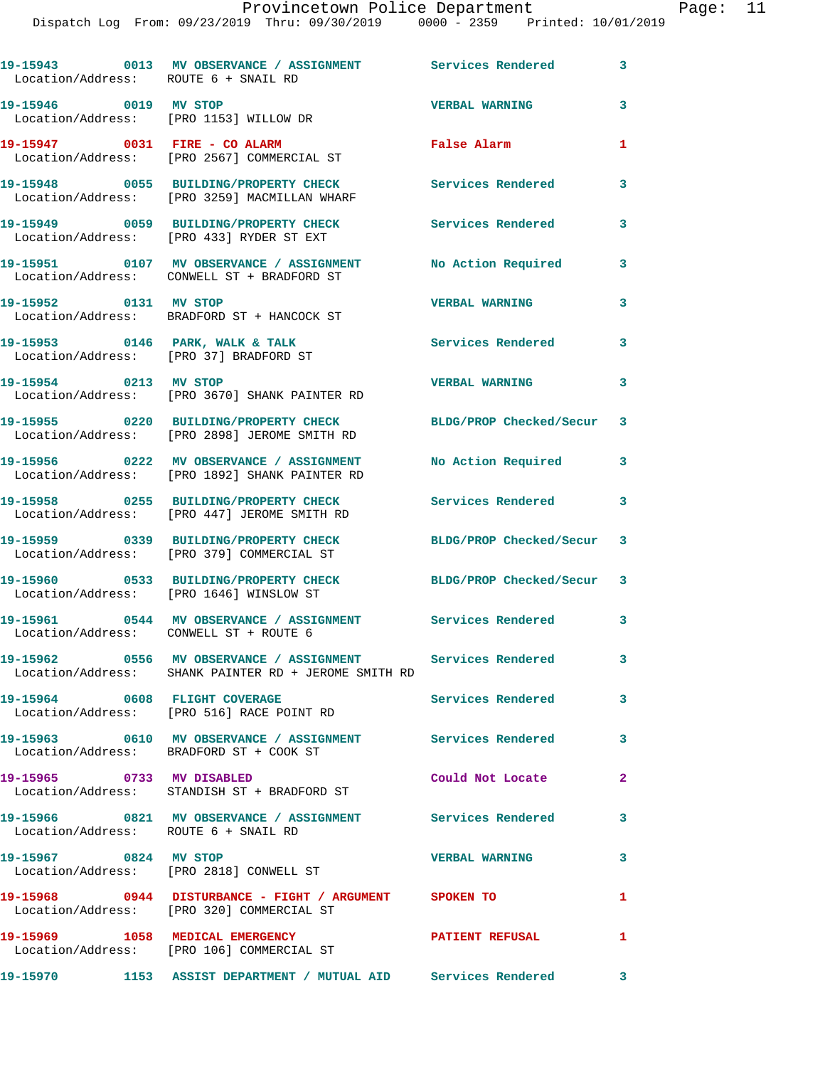| Location/Address: ROUTE 6 + SNAIL RD   | 19-15943 0013 MV OBSERVANCE / ASSIGNMENT Services Rendered                                                |                           | 3            |
|----------------------------------------|-----------------------------------------------------------------------------------------------------------|---------------------------|--------------|
| 19-15946 0019 MV STOP                  | Location/Address: [PRO 1153] WILLOW DR                                                                    | <b>VERBAL WARNING</b>     | 3            |
|                                        | 19-15947 0031 FIRE - CO ALARM<br>Location/Address: [PRO 2567] COMMERCIAL ST                               | False Alarm               | 1            |
|                                        | 19-15948 0055 BUILDING/PROPERTY CHECK<br>Location/Address: [PRO 3259] MACMILLAN WHARF                     | Services Rendered         | 3            |
|                                        | 19-15949 0059 BUILDING/PROPERTY CHECK<br>Location/Address: [PRO 433] RYDER ST EXT                         | <b>Services Rendered</b>  | 3            |
|                                        | 19-15951 0107 MV OBSERVANCE / ASSIGNMENT<br>Location/Address: CONWELL ST + BRADFORD ST                    | No Action Required        | 3            |
| 19-15952 0131 MV STOP                  | Location/Address: BRADFORD ST + HANCOCK ST                                                                | <b>VERBAL WARNING</b>     | 3            |
| 19-15953 0146 PARK, WALK & TALK        | Location/Address: [PRO 37] BRADFORD ST                                                                    | Services Rendered         | 3            |
| 19-15954 0213 MV STOP                  | Location/Address: [PRO 3670] SHANK PAINTER RD                                                             | <b>VERBAL WARNING</b>     | 3            |
|                                        | 19-15955 0220 BUILDING/PROPERTY CHECK<br>Location/Address: [PRO 2898] JEROME SMITH RD                     | BLDG/PROP Checked/Secur 3 |              |
|                                        | 19-15956 0222 MV OBSERVANCE / ASSIGNMENT<br>Location/Address: [PRO 1892] SHANK PAINTER RD                 | No Action Required        | 3            |
|                                        | 19-15958 0255 BUILDING/PROPERTY CHECK<br>Location/Address: [PRO 447] JEROME SMITH RD                      | Services Rendered         | 3            |
|                                        | 19-15959 0339 BUILDING/PROPERTY CHECK<br>Location/Address: [PRO 379] COMMERCIAL ST                        | BLDG/PROP Checked/Secur 3 |              |
|                                        | 19-15960 0533 BUILDING/PROPERTY CHECK<br>Location/Address: [PRO 1646] WINSLOW ST                          | BLDG/PROP Checked/Secur 3 |              |
| Location/Address: CONWELL ST + ROUTE 6 | 19-15961 0544 MV OBSERVANCE / ASSIGNMENT                                                                  | Services Rendered 3       |              |
| 19-15962                               | 0556 MV OBSERVANCE / ASSIGNMENT Services Rendered<br>Location/Address: SHANK PAINTER RD + JEROME SMITH RD |                           | 3            |
|                                        | 19-15964 0608 FLIGHT COVERAGE<br>Location/Address: [PRO 516] RACE POINT RD                                | Services Rendered         | 3            |
|                                        | 19-15963 0610 MV OBSERVANCE / ASSIGNMENT Services Rendered 3<br>Location/Address: BRADFORD ST + COOK ST   |                           |              |
| 19-15965 0733 MV DISABLED              | Location/Address: STANDISH ST + BRADFORD ST                                                               | Could Not Locate          | $\mathbf{2}$ |
| Location/Address: ROUTE 6 + SNAIL RD   | 19-15966 0821 MV OBSERVANCE / ASSIGNMENT Services Rendered                                                |                           | 3            |
| 19-15967 0824 MV STOP                  | Location/Address: [PRO 2818] CONWELL ST                                                                   | <b>VERBAL WARNING</b>     | 3            |
|                                        | 19-15968 0944 DISTURBANCE - FIGHT / ARGUMENT SPOKEN TO<br>Location/Address: [PRO 320] COMMERCIAL ST       |                           | $\mathbf{1}$ |
|                                        | 19-15969 1058 MEDICAL EMERGENCY<br>Location/Address: [PRO 106] COMMERCIAL ST                              | PATIENT REFUSAL           | $\mathbf{1}$ |
|                                        | 19-15970 1153 ASSIST DEPARTMENT / MUTUAL AID Services Rendered 3                                          |                           |              |
|                                        |                                                                                                           |                           |              |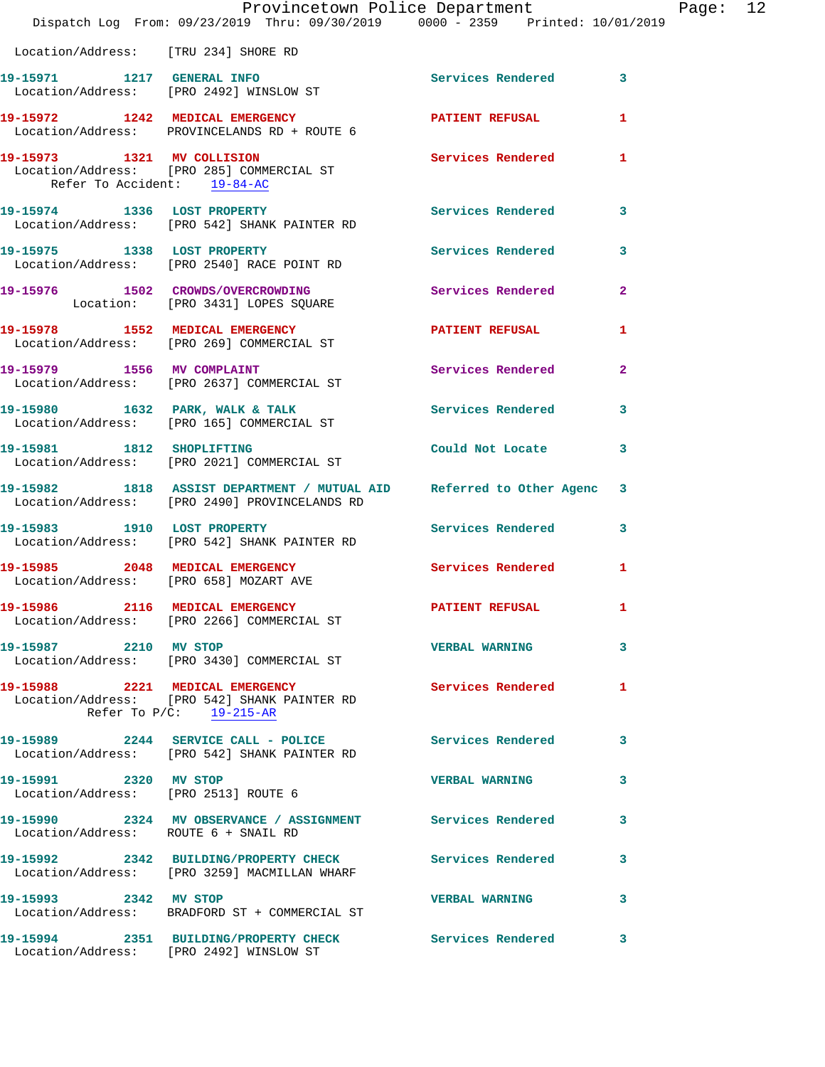|                                                               | Provincetown Police Department<br>Dispatch Log From: 09/23/2019 Thru: 09/30/2019 0000 - 2359 Printed: 10/01/2019      |                          |              |
|---------------------------------------------------------------|-----------------------------------------------------------------------------------------------------------------------|--------------------------|--------------|
| Location/Address: [TRU 234] SHORE RD                          |                                                                                                                       |                          |              |
|                                                               | 19-15971 1217 GENERAL INFO<br>Location/Address: [PRO 2492] WINSLOW ST                                                 | Services Rendered        | 3            |
|                                                               | 19-15972 1242 MEDICAL EMERGENCY<br>Location/Address: PROVINCELANDS RD + ROUTE 6                                       | PATIENT REFUSAL          | 1            |
| Refer To Accident: 19-84-AC                                   | 19-15973 1321 MV COLLISION<br>Location/Address: [PRO 285] COMMERCIAL ST                                               | <b>Services Rendered</b> | 1            |
|                                                               | 19-15974 1336 LOST PROPERTY<br>Location/Address: [PRO 542] SHANK PAINTER RD                                           | <b>Services Rendered</b> | 3            |
| 19-15975 1338 LOST PROPERTY                                   | Location/Address: [PRO 2540] RACE POINT RD                                                                            | Services Rendered        | 3            |
|                                                               | 19-15976 1502 CROWDS/OVERCROWDING<br>Location: [PRO 3431] LOPES SQUARE                                                | Services Rendered        | $\mathbf{2}$ |
|                                                               | 19-15978 1552 MEDICAL EMERGENCY<br>Location/Address: [PRO 269] COMMERCIAL ST                                          | PATIENT REFUSAL          | 1            |
|                                                               | 19-15979 1556 MV COMPLAINT<br>Location/Address: [PRO 2637] COMMERCIAL ST                                              | Services Rendered        | $\mathbf{2}$ |
|                                                               | 19-15980 1632 PARK, WALK & TALK<br>Location/Address: [PRO 165] COMMERCIAL ST                                          | <b>Services Rendered</b> | 3            |
|                                                               | 19-15981 1812 SHOPLIFTING<br>Location/Address: [PRO 2021] COMMERCIAL ST                                               | Could Not Locate         | 3            |
|                                                               | 19-15982 1818 ASSIST DEPARTMENT / MUTUAL AID Referred to Other Agenc<br>Location/Address: [PRO 2490] PROVINCELANDS RD |                          | 3            |
|                                                               | 19-15983 1910 LOST PROPERTY<br>Location/Address: [PRO 542] SHANK PAINTER RD                                           | <b>Services Rendered</b> | 3            |
| Location/Address: [PRO 658] MOZART AVE                        | 19-15985 2048 MEDICAL EMERGENCY                                                                                       | <b>Services Rendered</b> | 1            |
|                                                               | 19-15986 2116 MEDICAL EMERGENCY<br>Location/Address: [PRO 2266] COMMERCIAL ST                                         | <b>PATIENT REFUSAL</b>   | ı.           |
| 19-15987 2210 MV STOP                                         | Location/Address: [PRO 3430] COMMERCIAL ST                                                                            | <b>VERBAL WARNING</b>    | 3            |
|                                                               | 19-15988 2221 MEDICAL EMERGENCY<br>Location/Address: [PRO 542] SHANK PAINTER RD<br>Refer To $P/C$ : 19-215-AR         | Services Rendered        | 1            |
|                                                               | 19-15989 2244 SERVICE CALL - POLICE<br>Location/Address: [PRO 542] SHANK PAINTER RD                                   | <b>Services Rendered</b> | 3            |
| 19-15991 2320 MV STOP<br>Location/Address: [PRO 2513] ROUTE 6 |                                                                                                                       | <b>VERBAL WARNING</b>    | 3            |
| Location/Address: ROUTE 6 + SNAIL RD                          | 19-15990 2324 MV OBSERVANCE / ASSIGNMENT Services Rendered                                                            |                          | 3            |
|                                                               | 19-15992 2342 BUILDING/PROPERTY CHECK Services Rendered<br>Location/Address: [PRO 3259] MACMILLAN WHARF               |                          | 3            |
| 19-15993 2342 MV STOP                                         | Location/Address: BRADFORD ST + COMMERCIAL ST                                                                         | <b>VERBAL WARNING</b>    | 3            |
|                                                               | 19-15994 2351 BUILDING/PROPERTY CHECK Services Rendered<br>Location/Address: [PRO 2492] WINSLOW ST                    |                          | 3            |

Page: 12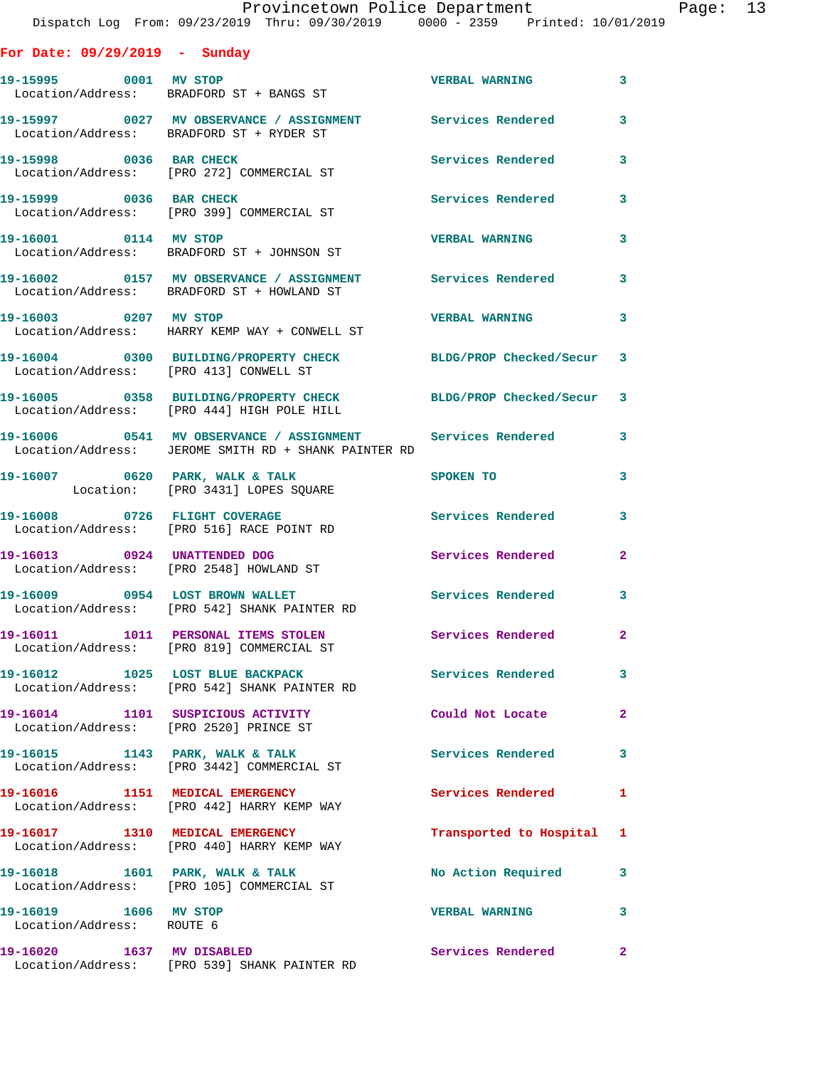|  |  | or Date: 09/29/2019 |  | Sunday |
|--|--|---------------------|--|--------|
|--|--|---------------------|--|--------|

| For Date: $09/29/2019$ - Sunday                    |                                                                                                                    |                           |                         |
|----------------------------------------------------|--------------------------------------------------------------------------------------------------------------------|---------------------------|-------------------------|
|                                                    | Location/Address: BRADFORD ST + BANGS ST                                                                           | <b>VERBAL WARNING</b>     | $\mathbf{3}$            |
|                                                    | 19-15997 0027 MV OBSERVANCE / ASSIGNMENT Services Rendered<br>Location/Address: BRADFORD ST + RYDER ST             |                           | $\mathbf{3}$            |
| 19-15998 0036 BAR CHECK                            | Location/Address: [PRO 272] COMMERCIAL ST                                                                          | <b>Services Rendered</b>  | $\overline{\mathbf{3}}$ |
| 19-15999 0036 BAR CHECK                            | Location/Address: [PRO 399] COMMERCIAL ST                                                                          | Services Rendered         | $\mathbf{3}$            |
| 19-16001 0114 MV STOP                              | Location/Address: BRADFORD ST + JOHNSON ST                                                                         | <b>VERBAL WARNING</b>     | $\overline{\mathbf{3}}$ |
|                                                    | 19-16002 0157 MV OBSERVANCE / ASSIGNMENT Services Rendered<br>Location/Address: BRADFORD ST + HOWLAND ST           |                           | $\mathbf{3}$            |
| 19-16003 0207 MV STOP                              | Location/Address: HARRY KEMP WAY + CONWELL ST                                                                      | <b>VERBAL WARNING</b>     | $\overline{\mathbf{3}}$ |
| Location/Address: [PRO 413] CONWELL ST             | 19-16004 0300 BUILDING/PROPERTY CHECK BLDG/PROP Checked/Secur 3                                                    |                           |                         |
|                                                    | 19-16005 0358 BUILDING/PROPERTY CHECK BLDG/PROP Checked/Secur 3<br>Location/Address: [PRO 444] HIGH POLE HILL      |                           |                         |
|                                                    | 19-16006 0541 MV OBSERVANCE / ASSIGNMENT Services Rendered<br>Location/Address: JEROME SMITH RD + SHANK PAINTER RD |                           | $\overline{\mathbf{3}}$ |
| 19-16007 0620 PARK, WALK & TALK                    | Location: [PRO 3431] LOPES SQUARE                                                                                  | SPOKEN TO                 | $\mathbf{3}$            |
|                                                    | 19-16008 0726 FLIGHT COVERAGE<br>Location/Address: [PRO 516] RACE POINT RD                                         | <b>Services Rendered</b>  | $\overline{\mathbf{3}}$ |
| 19-16013 0924 UNATTENDED DOG                       | Location/Address: [PRO 2548] HOWLAND ST                                                                            | Services Rendered         | $\mathbf{2}$            |
|                                                    | 19-16009 0954 LOST BROWN WALLET<br>Location/Address: [PRO 542] SHANK PAINTER RD                                    | Services Rendered 3       |                         |
|                                                    | 19-16011 1011 PERSONAL ITEMS STOLEN<br>Location/Address: [PRO 819] COMMERCIAL ST                                   | <b>Services Rendered</b>  | $\mathbf{2}$            |
|                                                    | 19-16012 1025 LOST BLUE BACKPACK<br>Location/Address: [PRO 542] SHANK PAINTER RD                                   | <b>Services Rendered</b>  | 3                       |
|                                                    | 19-16014 1101 SUSPICIOUS ACTIVITY<br>Location/Address: [PRO 2520] PRINCE ST                                        | Could Not Locate          | $\mathbf{2}$            |
|                                                    | 19-16015 1143 PARK, WALK & TALK<br>Location/Address: [PRO 3442] COMMERCIAL ST                                      | <b>Services Rendered</b>  | $\mathbf{3}$            |
| 19-16016 1151 MEDICAL EMERGENCY                    | Location/Address: [PRO 442] HARRY KEMP WAY                                                                         | <b>Services Rendered</b>  | $\mathbf{1}$            |
|                                                    | 19-16017 1310 MEDICAL EMERGENCY<br>Location/Address: [PRO 440] HARRY KEMP WAY                                      | Transported to Hospital 1 |                         |
|                                                    | 19-16018 1601 PARK, WALK & TALK<br>Location/Address: [PRO 105] COMMERCIAL ST                                       | No Action Required        | $\overline{\mathbf{3}}$ |
| 19-16019 1606 MV STOP<br>Location/Address: ROUTE 6 |                                                                                                                    | <b>VERBAL WARNING</b>     | $\mathbf{3}$            |
| 19-16020 1637 MV DISABLED                          | Location/Address: [PRO 539] SHANK PAINTER RD                                                                       | Services Rendered         | $\mathbf{2}$            |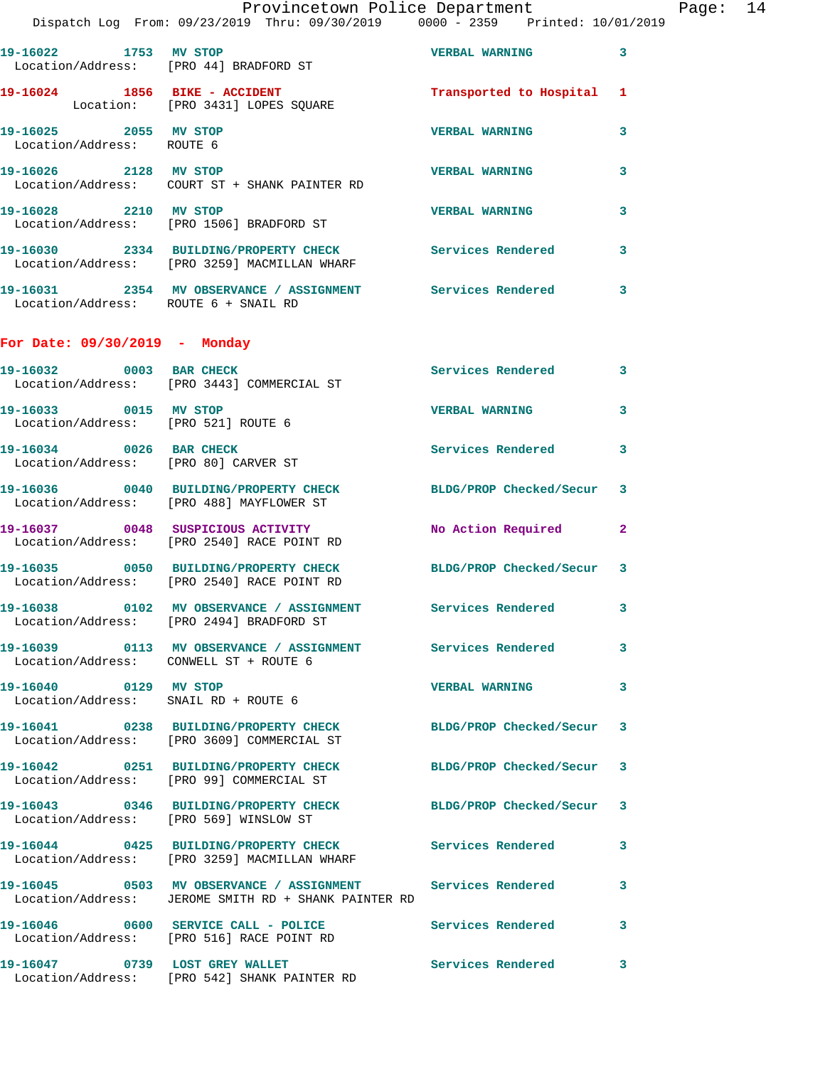|                                                                 | Dispatch Log From: 09/23/2019 Thru: 09/30/2019 0000 - 2359 Printed: 10/01/2019                              | - - - - - - - - - - - - - |              |
|-----------------------------------------------------------------|-------------------------------------------------------------------------------------------------------------|---------------------------|--------------|
| 19-16022 1753 MV STOP                                           | Location/Address: [PRO 44] BRADFORD ST                                                                      | <b>VERBAL WARNING</b>     | 3            |
|                                                                 | 19-16024 1856 BIKE - ACCIDENT<br>Location: [PRO 3431] LOPES SQUARE                                          | Transported to Hospital   | 1            |
| 19-16025 2055 MV STOP<br>Location/Address: ROUTE 6              |                                                                                                             | <b>VERBAL WARNING</b>     | 3            |
| 19-16026 2128 MV STOP                                           | Location/Address: COURT ST + SHANK PAINTER RD                                                               | <b>VERBAL WARNING</b>     | 3            |
| 19-16028 2210 MV STOP                                           | Location/Address: [PRO 1506] BRADFORD ST                                                                    | <b>VERBAL WARNING</b>     | 3            |
|                                                                 | 19-16030 2334 BUILDING/PROPERTY CHECK Services Rendered<br>Location/Address: [PRO 3259] MACMILLAN WHARF     |                           | 3            |
| Location/Address: ROUTE 6 + SNAIL RD                            | 19-16031 2354 MV OBSERVANCE / ASSIGNMENT Services Rendered                                                  |                           | 3.           |
| For Date: $09/30/2019$ - Monday                                 |                                                                                                             |                           |              |
| 19-16032 0003 BAR CHECK                                         | Location/Address: [PRO 3443] COMMERCIAL ST                                                                  | <b>Services Rendered</b>  | 3            |
| 19-16033 0015 MV STOP<br>Location/Address: [PRO 521] ROUTE 6    |                                                                                                             | <b>VERBAL WARNING</b>     | 3            |
| 19-16034 0026 BAR CHECK<br>Location/Address: [PRO 80] CARVER ST |                                                                                                             | <b>Services Rendered</b>  | 3            |
|                                                                 | 19-16036 0040 BUILDING/PROPERTY CHECK<br>Location/Address: [PRO 488] MAYFLOWER ST                           | BLDG/PROP Checked/Secur   | 3            |
|                                                                 | 19-16037 0048 SUSPICIOUS ACTIVITY<br>Location/Address: [PRO 2540] RACE POINT RD                             | No Action Required        | $\mathbf{2}$ |
|                                                                 | 19-16035 0050 BUILDING/PROPERTY CHECK<br>Location/Address: [PRO 2540] RACE POINT RD                         | BLDG/PROP Checked/Secur   | 3            |
|                                                                 | 19-16038 0102 MV OBSERVANCE / ASSIGNMENT Services Rendered<br>Location/Address: [PRO 2494] BRADFORD ST      |                           | 3            |
| Location/Address: CONWELL ST + ROUTE 6                          | 19-16039 0113 MV OBSERVANCE / ASSIGNMENT Services Rendered                                                  |                           | 3            |
| 19-16040 0129 MV STOP<br>Location/Address: SNAIL RD + ROUTE 6   |                                                                                                             | <b>VERBAL WARNING</b>     | 3            |
|                                                                 | 19-16041 0238 BUILDING/PROPERTY CHECK BLDG/PROP Checked/Secur<br>Location/Address: [PRO 3609] COMMERCIAL ST |                           | 3            |
|                                                                 | 19-16042 0251 BUILDING/PROPERTY CHECK BLDG/PROP Checked/Secur<br>Location/Address: [PRO 99] COMMERCIAL ST   |                           | 3            |
|                                                                 | 19-16043 0346 BUILDING/PROPERTY CHECK BLDG/PROP Checked/Secur<br>Location/Address: [PRO 569] WINSLOW ST     |                           | 3            |
|                                                                 | 19-16044 0425 BUILDING/PROPERTY CHECK Services Rendered<br>Location/Address: [PRO 3259] MACMILLAN WHARF     |                           | 3            |
|                                                                 | Location/Address: JEROME SMITH RD + SHANK PAINTER RD                                                        |                           | 3            |
|                                                                 | Location/Address: [PRO 516] RACE POINT RD                                                                   | Services Rendered         | 3            |
|                                                                 | 19-16047 0739 LOST GREY WALLET<br>Location/Address: [PRO 542] SHANK PAINTER RD                              | <b>Services Rendered</b>  | 3            |
|                                                                 |                                                                                                             |                           |              |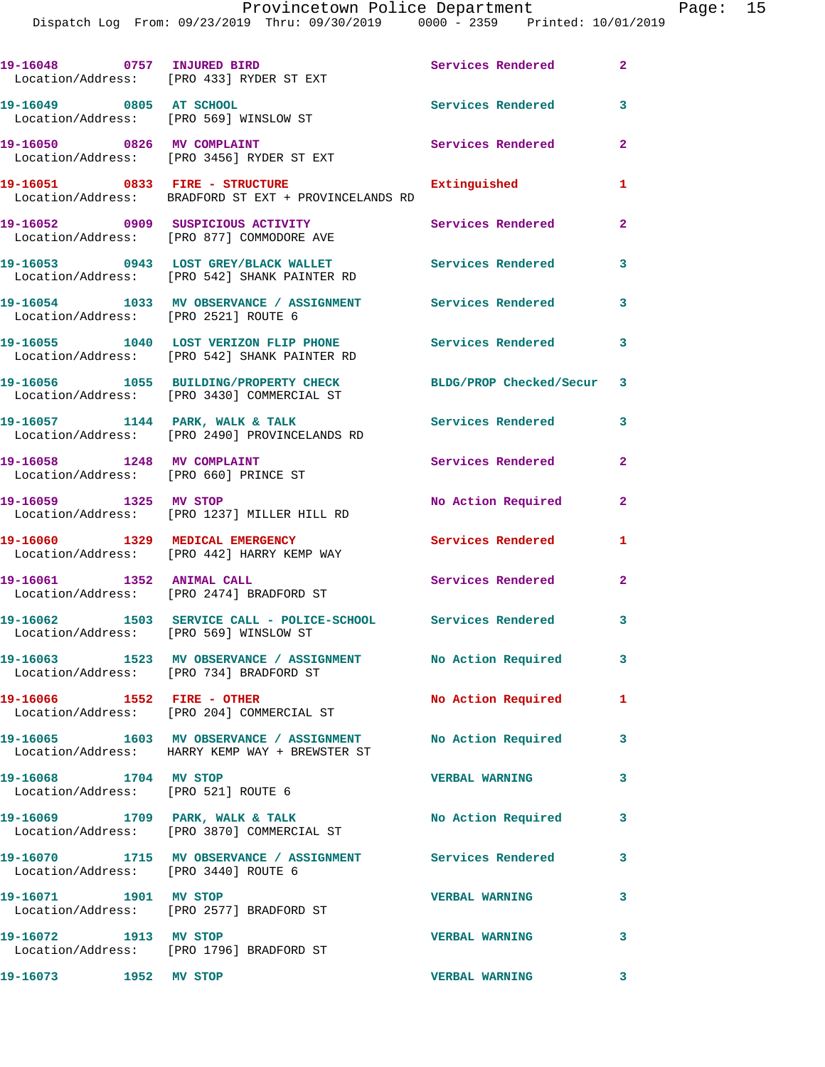|                                                              | 19-16048 0757 INJURED BIRD<br>Location/Address: [PRO 433] RYDER ST EXT                     | Services Rendered         | $\mathbf{2}$            |
|--------------------------------------------------------------|--------------------------------------------------------------------------------------------|---------------------------|-------------------------|
|                                                              | 19-16049 0805 AT SCHOOL<br>Location/Address: [PRO 569] WINSLOW ST                          | Services Rendered         | 3                       |
| 19-16050 0826 MV COMPLAINT                                   | Location/Address: [PRO 3456] RYDER ST EXT                                                  | <b>Services Rendered</b>  | $\overline{2}$          |
|                                                              | 19-16051 0833 FIRE - STRUCTURE<br>Location/Address: BRADFORD ST EXT + PROVINCELANDS RD     | Extinguished              | $\mathbf{1}$            |
|                                                              | 19-16052 0909 SUSPICIOUS ACTIVITY<br>Location/Address: [PRO 877] COMMODORE AVE             | Services Rendered         | $\overline{2}$          |
|                                                              | 19-16053 0943 LOST GREY/BLACK WALLET<br>Location/Address: [PRO 542] SHANK PAINTER RD       | Services Rendered         | 3                       |
| Location/Address: [PRO 2521] ROUTE 6                         | 19-16054 1033 MV OBSERVANCE / ASSIGNMENT Services Rendered 3                               |                           |                         |
|                                                              | 19-16055 1040 LOST VERIZON FLIP PHONE<br>Location/Address: [PRO 542] SHANK PAINTER RD      | <b>Services Rendered</b>  | 3                       |
|                                                              | 19-16056 1055 BUILDING/PROPERTY CHECK<br>Location/Address: [PRO 3430] COMMERCIAL ST        | BLDG/PROP Checked/Secur 3 |                         |
|                                                              | 19-16057 1144 PARK, WALK & TALK<br>Location/Address: [PRO 2490] PROVINCELANDS RD           | <b>Services Rendered</b>  | $\mathbf{3}$            |
| 19-16058 1248 MV COMPLAINT                                   | Location/Address: [PRO 660] PRINCE ST                                                      | Services Rendered         | $\mathbf{2}$            |
| 19-16059 1325 MV STOP                                        | Location/Address: [PRO 1237] MILLER HILL RD                                                | No Action Required        | $\overline{a}$          |
| 19-16060 1329 MEDICAL EMERGENCY                              | Location/Address: [PRO 442] HARRY KEMP WAY                                                 | <b>Services Rendered</b>  | 1                       |
| 19-16061 1352 ANIMAL CALL                                    | Location/Address: [PRO 2474] BRADFORD ST                                                   | <b>Services Rendered</b>  | $\mathbf{2}$            |
| Location/Address: [PRO 569] WINSLOW ST                       | 19-16062 1503 SERVICE CALL - POLICE-SCHOOL Services Rendered                               |                           | 3                       |
|                                                              | 19-16063 1523 MV OBSERVANCE / ASSIGNMENT<br>Location/Address: [PRO 734] BRADFORD ST        | No Action Required        | $\overline{\mathbf{3}}$ |
| 19-16066 1552 FIRE - OTHER                                   | Location/Address: [PRO 204] COMMERCIAL ST                                                  | No Action Required        | $\mathbf{1}$            |
|                                                              | 19-16065 1603 MV OBSERVANCE / ASSIGNMENT<br>Location/Address: HARRY KEMP WAY + BREWSTER ST | No Action Required 3      |                         |
| 19-16068 1704 MV STOP<br>Location/Address: [PRO 521] ROUTE 6 |                                                                                            | <b>VERBAL WARNING</b>     | $\mathbf{3}$            |
|                                                              | 19-16069 1709 PARK, WALK & TALK<br>Location/Address: [PRO 3870] COMMERCIAL ST              | No Action Required 3      |                         |
| Location/Address: [PRO 3440] ROUTE 6                         | 19-16070 1715 MV OBSERVANCE / ASSIGNMENT Services Rendered                                 |                           | $\overline{\mathbf{3}}$ |
| 19-16071 1901 MV STOP                                        | Location/Address: [PRO 2577] BRADFORD ST                                                   | <b>VERBAL WARNING</b>     | 3                       |
| 19-16072 1913 MV STOP                                        | Location/Address: [PRO 1796] BRADFORD ST                                                   | <b>VERBAL WARNING</b>     | 3                       |
| 19-16073 1952 MV STOP                                        |                                                                                            | <b>VERBAL WARNING</b>     | $\overline{\mathbf{3}}$ |